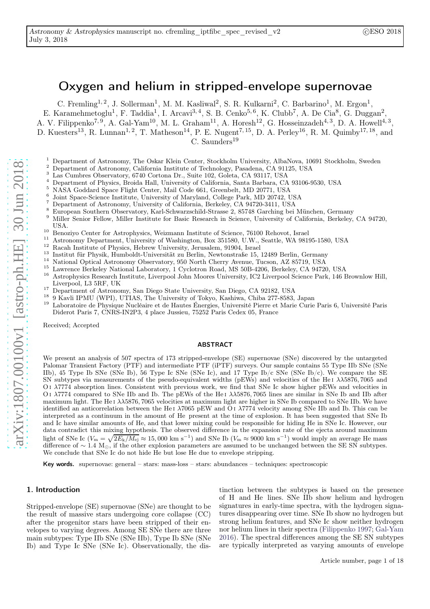# Oxygen and helium in stripped-envelope supernovae

C. Fremling<sup>1, 2</sup>, J. Sollerman<sup>1</sup>, M. M. Kasliwal<sup>2</sup>, S. R. Kulkarni<sup>2</sup>, C. Barbarino<sup>1</sup>, M. Ergon<sup>1</sup>,

E. Karamehmetoglu<sup>1</sup>, F. Taddia<sup>1</sup>, I. Arcavi<sup>3, 4</sup>, S. B. Cenko<sup>5, 6</sup>, K. Clubb<sup>7</sup>, A. De Cia<sup>8</sup>, G. Duggan<sup>2</sup>,

A. V. Filippenko<sup>7, 9</sup>, A. Gal-Yam<sup>10</sup>, M. L. Graham<sup>11</sup>, A. Horesh<sup>12</sup>, G. Hosseinzadeh<sup>4, 3</sup>, D. A. Howell<sup>4, 3</sup>,

D. Kuesters<sup>13</sup>, R. Lunnan<sup>1, 2</sup>, T. Matheson<sup>14</sup>, P. E. Nugent<sup>7, 15</sup>, D. A. Perley<sup>16</sup>, R. M. Quimby<sup>17, 18</sup>, and

 $C.$  Saunders<sup>19</sup>

- <sup>1</sup> Department of Astronomy, The Oskar Klein Center, Stockholm University, AlbaNova, 10691 Stockholm, Sweden  $\frac{2}{5}$  Department of Astronomy, Colifornia Institute of Technolomy Beardens, CA 01195, USA
- <sup>2</sup> Department of Astronomy, California Institute of Technology, Pasadena, CA 91125, USA<br> $\frac{3}{2}$  Lee Cumbres Observatory, 6740 Centers, Dr. Suite 109, California CA 92117, USA
- <sup>3</sup> Las Cumbres Observatory, 6740 Cortona Dr., Suite 102, Goleta, CA 93117, USA
- <sup>4</sup> Department of Physics, Broida Hall, University of California, Santa Barbara, CA 93106-9530, USA
- <sup>5</sup> NASA Goddard Space Flight Center, Mail Code 661, Greenbelt, MD 20771, USA
- 6 Joint Space-Science Institute, University of Maryland, College Park, MD 20742, USA
- <sup>7</sup> Department of Astronomy, University of California, Berkeley, CA 94720-3411, USA
- <sup>8</sup> European Southern Observatory, Karl-Schwarzschild-Strasse 2, 85748 Garching bei München, Germany
- <sup>9</sup> Miller Senior Fellow, Miller Institute for Basic Research in Science, University of California, Berkeley, CA 94720, USA.
- <sup>10</sup> Benoziyo Center for Astrophysics, Weizmann Institute of Science, 76100 Rehovot, Israel
- <sup>11</sup> Astronomy Department, University of Washington, Box 351580, U.W., Seattle, WA 98195-1580, USA<br><sup>12</sup> Basel Institute of Physics Halance University Leman at 2004 Leman
- <sup>12</sup> Racah Institute of Physics, Hebrew University, Jerusalem, 91904, Israel
- <sup>13</sup> Institut für Physik, Humboldt-Universität zu Berlin, Newtonstraße 15, 12489 Berlin, Germany
- <sup>14</sup> National Optical Astronomy Observatory, 950 North Cherry Avenue, Tucson, AZ 85719, USA
- <sup>15</sup> Lawrence Berkeley National Laboratory, 1 Cyclotron Road, MS 50B-4206, Berkeley, CA 94720, USA<br><sup>16</sup> Actrophysics Because Institute, Liverpool John Mearse University JC2 Liverpool Science Bark, 146 E
- <sup>16</sup> Astrophysics Research Institute, Liverpool John Moores University, IC2 Liverpool Science Park, 146 Brownlow Hill, Liverpool, L3 5RF, UK
- <sup>17</sup> Department of Astronomy, San Diego State University, San Diego, CA 92182, USA<br><sup>18</sup> 0 Korli IBMU (WBI), UTUAS, The University of Televe Keebius, Chiba 977, 2522
- <sup>18</sup> 9 Kavli IPMU (WPI), UTIAS, The University of Tokyo, Kashiwa, Chiba 277-8583, Japan<br><sup>19</sup> Lehensteins de Physique Nucléaire et de Hautes Épersies, Université Pierre et Marie Curie
- <sup>19</sup> Laboratoire de Physique Nucléaire et de Hautes Énergies, Université Pierre et Marie Curie Paris 6, Université Paris Diderot Paris 7, CNRS-IN2P3, 4 place Jussieu, 75252 Paris Cedex 05, France

Received; Accepted

#### ABSTRACT

We present an analysis of 507 spectra of 173 stripped-envelope (SE) supernovae (SNe) discovered by the untargeted Palomar Transient Factory (PTF) and intermediate PTF (iPTF) surveys. Our sample contains 55 Type IIb SNe (SNe IIb), 45 Type Ib SNe (SNe Ib), 56 Type Ic SNe (SNe Ic), and 17 Type Ib/c SNe (SNe Ib/c). We compare the SE SN subtypes via measurements of the pseudo-equivalent widths (pEWs) and velocities of the He<sub>I</sub>  $\lambda\lambda$ 5876, 7065 and O i λ7774 absorption lines. Consistent with previous work, we find that SNe Ic show higher pEWs and velocities in O i  $\lambda$ 7774 compared to SNe IIb and Ib. The pEWs of the He<sub>I</sub>  $\lambda$  $\lambda$ 5876, 7065 lines are similar in SNe Ib and IIb after maximum light. The He I  $\lambda\lambda$ 5876, 7065 velocities at maximum light are higher in SNe Ib compared to SNe IIb. We have identified an anticorrelation between the He<sub>I</sub>  $\lambda$ 7065 pEW and O<sub>I</sub>  $\lambda$ 7774 velocity among SNe IIb and Ib. This can be interpreted as a continuum in the amount of He present at the time of explosion. It has been suggested that SNe Ib and Ic have similar amounts of He, and that lower mixing could be responsible for hiding He in SNe Ic. However, our data contradict this mixing hypothesis. The observed difference in the expansion rate of the ejecta around maximum light of SNe Ic  $(V_m = \sqrt{2E_k/M_{\rm ej}} \approx 15,000 \text{ km s}^{-1})$  and SNe Ib  $(V_m \approx 9000 \text{ km s}^{-1})$  would imply an average He mass difference of  $\sim$  1.4 M<sub>☉</sub>, if the other explosion parameters are assumed to be unchanged between the SE SN subtypes. We conclude that SNe Ic do not hide He but lose He due to envelope stripping.

Key words. supernovae: general – stars: mass-loss – stars: abundances – techniques: spectroscopic

## 1. Introduction

Stripped-envelope (SE) supernovae (SNe) are thought to be the result of massive stars undergoing core collapse (CC) after the progenitor stars have been stripped of their envelopes to varying degrees. Among SE SNe there are three main subtypes: Type IIb SNe (SNe IIb), Type Ib SNe (SNe Ib) and Type Ic SNe (SNe Ic). Observationally, the dis-

tinction between the subtypes is based on the presence of H and He lines. SNe IIb show helium and hydrogen signatures in early-time spectra, with the hydrogen signatures disappearing over time. SNe Ib show no hydrogen but strong helium features, and SNe Ic show neither hydrogen nor helium lines in their spectra [\(Filippenko 1997;](#page-8-0) [Gal-Yam](#page-8-1) [2016\)](#page-8-1). The spectral differences among the SE SN subtypes are typically interpreted as varying amounts of envelope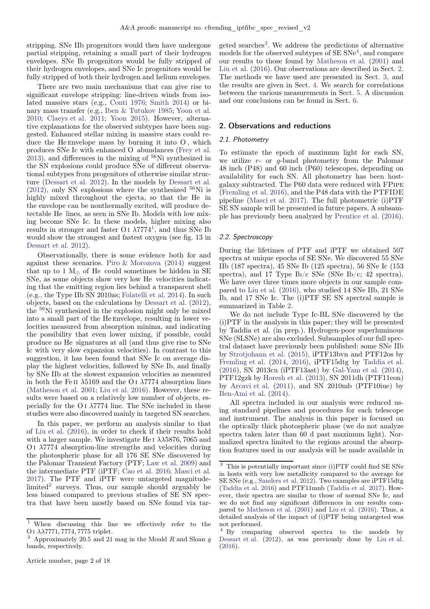stripping. SNe IIb progenitors would then have undergone partial stripping, retaining a small part of their hydrogen envelopes. SNe Ib progenitors would be fully stripped of their hydrogen envelopes, and SNe Ic progenitors would be fully stripped of both their hydrogen and helium envelopes.

There are two main mechanisms that can give rise to significant envelope stripping: line-driven winds from isolated massive stars (e.g., [Conti 1976;](#page-8-2) [Smith 2014\)](#page-8-3) or binary mass transfer (e.g., [Iben & Tutukov 1985](#page-8-4); [Yoon et al.](#page-8-5) [2010;](#page-8-5) [Claeys et al. 2011;](#page-8-6) [Yoon 2015\)](#page-8-7). However, alternative explanations for the observed subtypes have been suggested. Enhanced stellar mixing in massive stars could reduce the He Envelope mass by burning it into  $O$ , which produces SNe Ic with enhanced O abundances [\(Frey et al.](#page-8-8)  $2013$ ), and differences in the mixing of  $56$ Ni synthesized in the SN explosions could produce SNe of different observational subtypes from progenitors of otherwise similar structure [\(Dessart et al. 2012](#page-8-9)). In the models by [Dessart et al.](#page-8-9)  $(2012)$ , only SN explosions where the synthesized  $56$ Ni is highly mixed throughout the ejecta, so that the He in the envelope can be nonthermally excited, will produce detectable He lines, as seen in SNe Ib. Models with low mixing become SNe Ic. In these models, higher mixing also results in stronger and faster O<sub>I</sub>  $\lambda$ 7774<sup>[1](#page-1-0)</sup>, and thus SNe Ib would show the strongest and fastest oxygen (see fig. 13 in [Dessart et al. 2012](#page-8-9)).

Observationally, there is some evidence both for and against these scenarios. [Piro & Morozova](#page-8-10) [\(2014](#page-8-10)) suggest that up to 1  $M<sub>°</sub>$  of He could sometimes be hidden in SE SNe, as some objects show very low He velocities indicating that the emitting region lies behind a transparent shell (e.g., the Type IIb SN 2010as; [Folatelli et al. 2014\)](#page-8-11). In such objects, based on the calculations by [Dessart et al.](#page-8-9) [\(2012](#page-8-9)), the <sup>56</sup>Ni synthesized in the explosion might only be mixed into a small part of the He envelope, resulting in lower velocities measured from absorption minima, and indicating the possibility that even lower mixing, if possible, could produce no He signatures at all (and thus give rise to SNe Ic with very slow expansion velocities). In contrast to this suggestion, it has been found that SNe Ic on average display the highest velocities, followed by SNe Ib, and finally by SNe IIb at the slowest expansion velocities as measured in both the Fe II  $\lambda$ 5169 and the O I  $\lambda$ 7774 absorption lines [\(Matheson et al. 2001](#page-8-12); [Liu et al. 2016\)](#page-8-13). However, these results were based on a relatively low number of objects, especially for the O I  $\lambda$ 7774 line. The SNe included in these studies were also discovered mainly in targeted SN searches.

In this paper, we perform an analysis similar to that of [Liu et al.](#page-8-13) [\(2016\)](#page-8-13), in order to check if their results hold with a larger sample. We investigate He I  $\lambda\lambda$ 5876, 7065 and O<sub>I</sub>  $\lambda$ 7774 absorption-line strengths and velocities during the photospheric phase for all 176 SE SNe discovered by the Palomar Transient Factory (PTF; [Law et al. 2009](#page-8-14)) and the intermediate PTF (iPTF; [Cao et al. 2016](#page-8-15); [Masci et al.](#page-8-16) [2017\)](#page-8-16). The PTF and iPTF were untargeted magnitude-limited<sup>[2](#page-1-1)</sup> surveys. Thus, our sample should arguably be less biased compared to previous studies of SE SN spectra that have been mostly based on SNe found via tar-

geted searches<sup>[3](#page-1-2)</sup>. We address the predictions of alternative models for the observed subtypes of  $SE SNe<sup>4</sup>$  $SE SNe<sup>4</sup>$  $SE SNe<sup>4</sup>$ , and compare our results to those found by [Matheson et al.](#page-8-12) [\(2001](#page-8-12)) and [Liu et al.](#page-8-13) [\(2016\)](#page-8-13). Our observations are described in Sect. [2.](#page-1-4) The methods we have used are presented in Sect. [3,](#page-2-0) and the results are given in Sect. [4.](#page-3-0) We search for correlations between the various measurements in Sect. [5.](#page-4-0) A discussion and our conclusions can be found in Sect. [6.](#page-5-0)

## <span id="page-1-4"></span>2. Observations and reductions

## 2.1. Photometry

To estimate the epoch of maximum light for each SN, we utilize  $r$ - or  $g$ -band photometry from the Palomar 48 inch (P48) and 60 inch (P60) telescopes, depending on availability for each SN. All photometry has been hostgalaxy subtracted. The P60 data were reduced with FPipe [\(Fremling et al. 2016\)](#page-8-17), and the P48 data with the PTFIDE pipeline [\(Masci et al. 2017](#page-8-16)). The full photometric (i)PTF SE SN sample will be presented in future papers. A subsample has previously been analyzed by [Prentice et al.](#page-8-18) [\(2016\)](#page-8-18).

#### 2.2. Spectroscopy

During the lifetimes of PTF and iPTF we obtained 507 spectra at unique epochs of SE SNe. We discovered 55 SNe IIb (187 spectra), 45 SNe Ib (125 spectra), 56 SNe Ic (153 spectra), and 17 Type Ib/c SNe (SNe Ib/c; 42 spectra). We have over three times more objects in our sample compared to [Liu et al.](#page-8-13) [\(2016\)](#page-8-13), who studied 14 SNe IIb, 21 SNe Ib, and 17 SNe Ic. The (i)PTF SE SN spectral sample is summarized in Table [2.](#page-15-0)

We do not include Type Ic-BL SNe discovered by the (i)PTF in the analysis in this paper; they will be presented by Taddia et al. (in prep.). Hydrogen-poor superluminous SNe (SLSNe) are also excluded. Subsamples of our full spectral dataset have previously been published: some SNe IIb by [Strotjohann et al.](#page-8-19) [\(2015](#page-8-19)), iPTF13bvn and PTF12os by [Fremling et al.](#page-8-20) [\(2014,](#page-8-20) [2016\)](#page-8-17), iPTF15dtg by [Taddia et al.](#page-8-21) [\(2016](#page-8-21)), SN 2013cu (iPTF13ast) by [Gal-Yam et al.](#page-8-22) [\(2014\)](#page-8-22), PTF12gzk by [Horesh et al.](#page-8-23) [\(2013\)](#page-8-23), SN 2011dh (PTF11eon) by [Arcavi et al.](#page-8-24) [\(2011](#page-8-24)), and SN 2010mb (PTF10iue) by [Ben-Ami et al.](#page-8-25) [\(2014\)](#page-8-25).

All spectra included in our analysis were reduced using standard pipelines and procedures for each telescope and instrument. The analysis in this paper is focused on the optically thick photospheric phase (we do not analyze spectra taken later than 60 d past maximum light). Normalized spectra limited to the regions around the absorption features used in our analysis will be made available in

<span id="page-1-0"></span><sup>1</sup> When discussing this line we effectively refer to the O I  $\lambda\lambda$ 7771, 7774, 7775 triplet.

<span id="page-1-1"></span>Approximately 20.5 and 21 mag in the Mould  $R$  and Sloan  $q$ bands, respectively.

<span id="page-1-2"></span><sup>3</sup> This is potentially important since (i)PTF could find SE SNe in hosts with very low metallicity compared to the average for SE SNe (e.g., [Sanders et al. 2012](#page-8-26)). Two examples are iPTF15dtg [\(Taddia et al. 2016](#page-8-21)) and PTF11mnb [\(Taddia et al. 2017](#page-8-27)). However, their spectra are similar to those of normal SNe Ic, and we do not find any significant differences in our results compared to [Matheson et al.](#page-8-12) [\(2001](#page-8-12)) and [Liu et al.](#page-8-13) [\(2016\)](#page-8-13). Thus, a detailed analysis of the impact of (i)PTF being untargeted was not performed.

<span id="page-1-3"></span><sup>4</sup> By comparing observed spectra to the models by [Dessart et al.](#page-8-9) [\(2012](#page-8-9)), as was previously done by [Liu et al.](#page-8-13) [\(2016](#page-8-13)).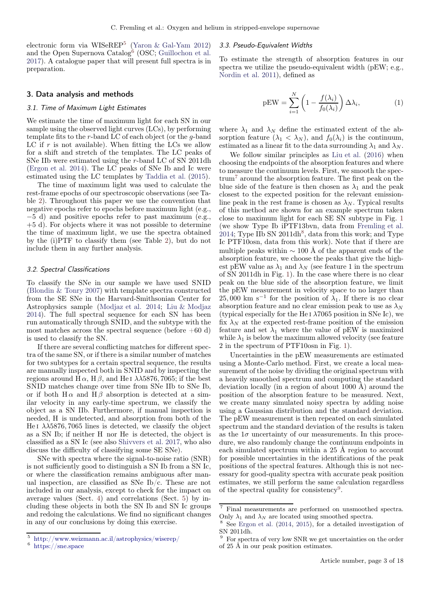electronic form via WISeREP<sup>[5](#page-2-1)</sup> [\(Yaron & Gal-Yam 2012](#page-8-28)) and the Open Supernova Catalog<sup>[6](#page-2-2)</sup> (OSC; [Guillochon et al.](#page-8-29) [2017\)](#page-8-29). A catalogue paper that will present full spectra is in preparation.

## <span id="page-2-0"></span>3. Data analysis and methods

## 3.1. Time of Maximum Light Estimates

We estimate the time of maximum light for each SN in our sample using the observed light curves (LCs), by performing template fits to the r-band LC of each object (or the g-band LC if  $r$  is not available). When fitting the LCs we allow for a shift and stretch of the templates. The LC peaks of SNe IIb were estimated using the r-band LC of SN 2011dh [\(Ergon et al. 2014\)](#page-8-30). The LC peaks of SNe Ib and Ic were estimated using the LC templates by [Taddia et al.](#page-8-31) [\(2015](#page-8-31)).

The time of maximum light was used to calculate the rest-frame epochs of our spectroscopic observations (see Table [2\)](#page-15-0). Throughout this paper we use the convention that negative epochs refer to epochs before maximum light (e.g., −5 d) and positive epochs refer to past maximum (e.g., +5 d). For objects where it was not possible to determine the time of maximum light, we use the spectra obtained by the (i)PTF to classify them (see Table [2\)](#page-15-0), but do not include them in any further analysis.

#### 3.2. Spectral Classifications

To classify the SNe in our sample we have used SNID [\(Blondin & Tonry 2007](#page-8-32)) with template spectra constructed from the SE SNe in the Harvard-Smithsonian Center for Astrophysics sample [\(Modjaz et al. 2014;](#page-8-33) [Liu & Modjaz](#page-8-34) [2014\)](#page-8-34). The full spectral sequence for each SN has been run automatically through SNID, and the subtype with the most matches across the spectral sequence (before  $+60$  d) is used to classify the SN.

If there are several conflicting matches for different spectra of the same SN, or if there is a similar number of matches for two subtypes for a certain spectral sequence, the results are manually inspected both in SNID and by inspecting the regions around  $H \alpha$ ,  $H \beta$ , and He I  $\lambda \lambda$ 5876, 7065; if the best SNID matches change over time from SNe IIb to SNe Ib, or if both  $H \alpha$  and  $H \beta$  absorption is detected at a similar velocity in any early-time spectrum, we classify the object as a SN IIb. Furthermore, if manual inspection is needed, H is undetected, and absorption from both of the He I  $\lambda\lambda$ 5876, 7065 lines is detected, we classify the object as a SN Ib; if neither H nor He is detected, the object is classified as a SN Ic (see also [Shivvers et al. 2017,](#page-8-35) who also discuss the difficulty of classifying some SE SNe).

SNe with spectra where the signal-to-noise ratio (SNR) is not sufficiently good to distinguish a SN Ib from a SN Ic, or where the classification remains ambiguous after manual inspection, are classified as SNe Ib/c. These are not included in our analysis, except to check for the impact on average values (Sect. [4\)](#page-3-0) and correlations (Sect. [5\)](#page-4-0) by including these objects in both the SN Ib and SN Ic groups and redoing the calculations. We find no significant changes in any of our conclusions by doing this exercise.

#### <span id="page-2-6"></span>3.3. Pseudo-Equivalent Widths

To estimate the strength of absorption features in our spectra we utilize the pseudo-equivalent width (pEW; e.g., [Nordin et al. 2011](#page-8-36)), defined as

<span id="page-2-7"></span>
$$
pEW = \sum_{i=1}^{N} \left( 1 - \frac{f(\lambda_i)}{f_0(\lambda_i)} \right) \Delta \lambda_i, \tag{1}
$$

where  $\lambda_1$  and  $\lambda_N$  define the estimated extent of the absorption feature  $(\lambda_1 < \lambda_N)$ , and  $f_0(\lambda_i)$  is the continuum, estimated as a linear fit to the data surrounding  $\lambda_1$  and  $\lambda_N$ .

We follow similar principles as [Liu et al.](#page-8-13) [\(2016\)](#page-8-13) when choosing the endpoints of the absorption features and where to measure the continuum levels. First, we smooth the spectrum[7](#page-2-3) around the absorption feature. The first peak on the blue side of the feature is then chosen as  $\lambda_1$  and the peak closest to the expected position for the relevant emissionline peak in the rest frame is chosen as  $\lambda_N$ . Typical results of this method are shown for an example spectrum taken close to maximum light for each SE SN subtype in Fig. [1](#page-9-0) (we show Type Ib iPTF13bvn, data from [Fremling et al.](#page-8-20)  $2014$ ; Type IIb SN  $2011dh^8$  $2011dh^8$ , data from this work; and Type Ic PTF10osn, data from this work). Note that if there are multiple peaks within  $\sim 100 \text{ Å}$  of the apparent ends of the absorption feature, we choose the peaks that give the highest pEW value as  $\lambda_1$  and  $\lambda_N$  (see feature 1 in the spectrum of SN 2011dh in Fig. [1\)](#page-9-0). In the case where there is no clear peak on the blue side of the absorption feature, we limit the pEW measurement in velocity space to no larger than  $25,000 \text{ km s}^{-1}$  for the position of  $\lambda_1$ . If there is no clear absorption feature and no clear emission peak to use as  $\lambda_N$ (typical especially for the He I  $\lambda$ 7065 position in SNe Ic), we fix  $\lambda_N$  at the expected rest-frame position of the emission feature and set  $\lambda_1$  where the value of pEW is maximized while  $\lambda_1$  is below the maximum allowed velocity (see feature 2 in the spectrum of PTF10osn in Fig. [1\)](#page-9-0).

Uncertainties in the pEW measurements are estimated using a Monte-Carlo method. First, we create a local measurement of the noise by dividing the original spectrum with a heavily smoothed spectrum and computing the standard deviation locally (in a region of about 1000 Å) around the position of the absorption feature to be measured. Next, we create many simulated noisy spectra by adding noise using a Gaussian distribution and the standard deviation. The pEW measurement is then repeated on each simulated spectrum and the standard deviation of the results is taken as the  $1\sigma$  uncertainty of our measurements. In this procedure, we also randomly change the continuum endpoints in each simulated spectrum within a 25 Å region to account for possible uncertainties in the identifications of the peak positions of the spectral features. Although this is not necessary for good-quality spectra with accurate peak position estimates, we still perform the same calculation regardless of the spectral quality for consistency<sup>[9](#page-2-5)</sup>.

<sup>5</sup> <http://www.weizmann.ac.il/astrophysics/wiserep/>

<span id="page-2-2"></span><span id="page-2-1"></span> $6 \text{ https://sne.space}$  $6 \text{ https://sne.space}$  $6 \text{ https://sne.space}$ 

<sup>7</sup> Final measurements are performed on unsmoothed spectra. Only  $\lambda_1$  and  $\lambda_N$  are located using smoothed spectra.

<span id="page-2-4"></span><span id="page-2-3"></span>See [Ergon et al.](#page-8-30) [\(2014](#page-8-30), [2015](#page-8-37)), for a detailed investigation of SN 2011dh.

<span id="page-2-5"></span> $^9\,$  For spectra of very low SNR we get uncertainties on the order of 25 Å in our peak position estimates.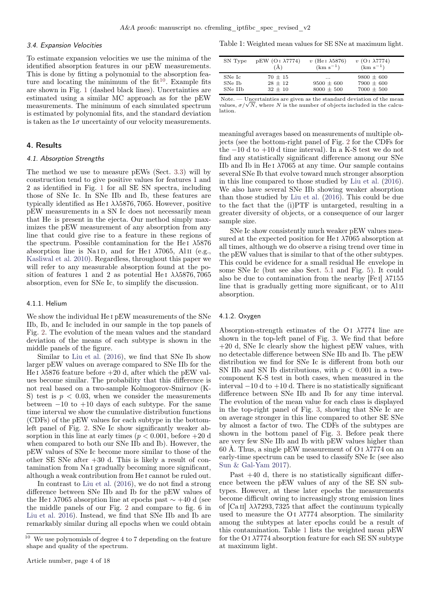#### 3.4. Expansion Velocities

To estimate expansion velocities we use the minima of the identified absorption features in our pEW measurements. This is done by fitting a polynomial to the absorption feature and locating the minimum of the  $fit^{10}$  $fit^{10}$  $fit^{10}$ . Example fits are shown in Fig. [1](#page-9-0) (dashed black lines). Uncertainties are estimated using a similar MC approach as for the pEW measurements. The minimum of each simulated spectrum is estimated by polynomial fits, and the standard deviation is taken as the  $1\sigma$  uncertainty of our velocity measurements.

#### <span id="page-3-0"></span>4. Results

#### 4.1. Absorption Strengths

The method we use to measure pEWs (Sect. [3.3\)](#page-2-6) will by construction tend to give positive values for features 1 and 2 as identified in Fig. [1](#page-9-0) for all SE SN spectra, including those of SNe Ic. In SNe IIb and Ib, these features are typically identified as He I  $\lambda\lambda$ 5876, 7065. However, positive pEW measurements in a SN Ic does not necessarily mean that He is present in the ejecta. Our method simply maximizes the pEW measurement of any absorption from any line that could give rise to a feature in these regions of the spectrum. Possible contamination for the He<sub>I</sub>  $\lambda$ 5876 absorption line is Na<sub>ID</sub>, and for He<sub>I</sub>  $\lambda$ 7065, Al<sub>II</sub> (e.g., [Kasliwal et al. 2010\)](#page-8-38). Regardless, throughout this paper we will refer to any measurable absorption found at the position of features 1 and 2 as potential He I  $\lambda\lambda$ 5876, 7065 absorption, even for SNe Ic, to simplify the discussion.

## 4.1.1. Helium

We show the individual He i pEW measurements of the SNe IIb, Ib, and Ic included in our sample in the top panels of Fig. [2.](#page-10-0) The evolution of the mean values and the standard deviation of the means of each subtype is shown in the middle panels of the figure.

Similar to [Liu et al.](#page-8-13) [\(2016\)](#page-8-13), we find that SNe Ib show larger pEW values on average compared to SNe IIb for the He I  $\lambda$ 5876 feature before +20 d, after which the pEW values become similar. The probability that this difference is not real based on a two-sample Kolmogorov-Smirnov (K-S) test is  $p < 0.03$ , when we consider the measurements between  $-10$  to  $+10$  days of each subtype. For the same time interval we show the cumulative distribution functions (CDFs) of the pEW values for each subtype in the bottomleft panel of Fig. [2.](#page-10-0) SNe Ic show significantly weaker absorption in this line at early times ( $p < 0.001$ , before  $+20$  d when compared to both our SNe IIb and Ib). However, the pEW values of SNe Ic become more similar to those of the other SE SNe after +30 d. This is likely a result of contamination from Na i gradually becoming more significant, although a weak contribution from He i cannot be ruled out.

In contrast to [Liu et al.](#page-8-13) [\(2016\)](#page-8-13), we do not find a strong difference between SNe IIb and Ib for the pEW values of the He⊺ $\lambda$ 7065 absorption line at epochs past  $\sim$  +40 d (see the middle panels of our Fig. [2](#page-10-0) and compare to fig. 6 in [Liu et al. 2016\)](#page-8-13). Instead, we find that SNe IIb and Ib are remarkably similar during all epochs when we could obtain <span id="page-3-2"></span>Table 1: Weighted mean values for SE SNe at maximum light.

| SN Type | $pEW$ (O <sub>I</sub> $\lambda$ 7774) | $v$ (He <sub>I</sub> $\lambda$ 5876) | $v$ (O I $\lambda$ 7774) |
|---------|---------------------------------------|--------------------------------------|--------------------------|
|         | (Å)                                   | $(km s^{-1})$                        | $(km s^{-1})$            |
| SNe Ic  | $70 + 15$                             | $\cdots$                             | $9800 \pm 600$           |
| SNe Ib  | $28 + 12$                             | $9500 \pm 600$                       | $7900 \pm 600$           |
| SNe IIb | $32 + 10$                             | $8000 \pm 500$                       | $7000 \pm 500$           |

Note. — Uncertainties are given as the standard deviation of the mean values,  $\sigma/\sqrt{N}$ , where N is the number of objects included in the calculation.

meaningful averages based on measurements of multiple objects (see the bottom-right panel of Fig. [2](#page-10-0) for the CDFs for the −10 d to +10 d time interval). In a K-S test we do not find any statistically significant difference among our SNe IIb and Ib in He I  $\lambda$ 7065 at any time. Our sample contains several SNe Ib that evolve toward much stronger absorption in this line compared to those studied by [Liu et al.](#page-8-13) [\(2016\)](#page-8-13). We also have several SNe IIb showing weaker absorption than those studied by [Liu et al.](#page-8-13) [\(2016\)](#page-8-13). This could be due to the fact that the (i)PTF is untargeted, resulting in a greater diversity of objects, or a consequence of our larger sample size.

SNe Ic show consistently much weaker pEW values measured at the expected position for He I  $\lambda$ 7065 absorption at all times, although we do observe a rising trend over time in the pEW values that is similar to that of the other subtypes. This could be evidence for a small residual He envelope in some SNe Ic (but see also Sect. [5.1](#page-4-1) and Fig. [5\)](#page-13-0). It could also be due to contamination from the nearby [Fe I]  $\lambda$ 7155 line that is gradually getting more significant, or to Al II absorption.

#### 4.1.2. Oxygen

Absorption-strength estimates of the O i  $\lambda$ 7774 line are shown in the top-left panel of Fig. [3.](#page-11-0) We find that before +20 d, SNe Ic clearly show the highest pEW values, with no detectable difference between SNe IIb and Ib. The pEW distribution we find for SNe Ic is different from both our SN IIb and SN Ib distributions, with  $p < 0.001$  in a twocomponent K-S test in both cases, when measured in the interval  $-10 d$  to  $+10 d$ . There is no statistically significant difference between SNe IIb and Ib for any time interval. The evolution of the mean value for each class is displayed in the top-right panel of Fig. [3,](#page-11-0) showing that SNe Ic are on average stronger in this line compared to other SE SNe by almost a factor of two. The CDFs of the subtypes are shown in the bottom panel of Fig. [3.](#page-11-0) Before peak there are very few SNe IIb and Ib with pEW values higher than 60 Å. Thus, a single pEW measurement of O I  $\lambda$ 7774 on an early-time spectrum can be used to classify SNe Ic (see also [Sun & Gal-Yam 2017\)](#page-8-39).

Past +40 d, there is no statistically significant difference between the pEW values of any of the SE SN subtypes. However, at these later epochs the measurements become difficult owing to increasingly strong emission lines of  $\left[$ Ca<sub>II</sub> $\right]$   $\lambda\lambda$ 7293, 7325 that affect the continuum typically used to measure the O i  $\lambda$ 7774 absorption. The similarity among the subtypes at later epochs could be a result of this contamination. Table [1](#page-3-2) lists the weighted mean pEW for the O<sub>I</sub>  $\lambda$ 7774 absorption feature for each SE SN subtype at maximum light.

<span id="page-3-1"></span> $^{\rm 10}\,$  We use polynomials of degree 4 to 7 depending on the feature shape and quality of the spectrum.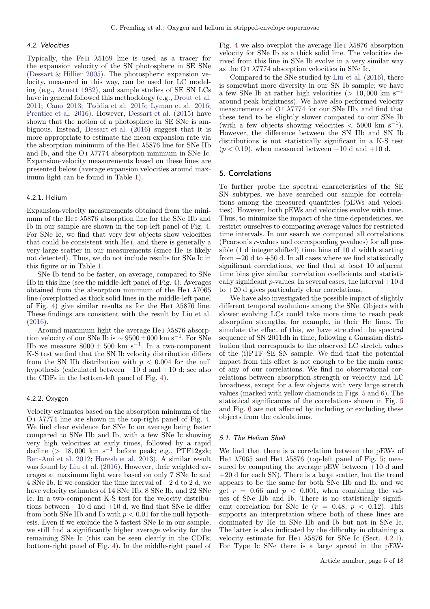## 4.2. Velocities

Typically, the Fe II  $\lambda$ 5169 line is used as a tracer for the expansion velocity of the SN photosphere in SE SNe [\(Dessart & Hillier 2005](#page-8-40)). The photospheric expansion velocity, measured in this way, can be used for LC modeling (e.g., [Arnett 1982](#page-8-41)), and sample studies of SE SN LCs have in general followed this methodology (e.g., [Drout et al.](#page-8-42) [2011;](#page-8-42) [Cano 2013](#page-8-43); [Taddia et al. 2015;](#page-8-31) [Lyman et al. 2016](#page-8-44); [Prentice et al. 2016\)](#page-8-18). However, [Dessart et al.](#page-8-45) [\(2015](#page-8-45)) have shown that the notion of a photosphere in SE SNe is ambiguous. Instead, [Dessart et al.](#page-8-46) [\(2016\)](#page-8-46) suggest that it is more appropriate to estimate the mean expansion rate via the absorption minimum of the He<sub>I</sub>  $\lambda$ 5876 line for SNe IIb and Ib, and the O I  $\lambda$ 7774 absorption minimum in SNe Ic. Expansion-velocity measurements based on these lines are presented below (average expansion velocities around maximum light can be found in Table [1\)](#page-3-2).

#### <span id="page-4-2"></span>4.2.1. Helium

Expansion-velocity measurements obtained from the minimum of the He<sub>I</sub>  $\lambda$ 5876 absorption line for the SNe IIb and Ib in our sample are shown in the top-left panel of Fig. [4.](#page-12-0) For SNe Ic, we find that very few objects show velocities that could be consistent with He i, and there is generally a very large scatter in our measurements (since He is likely not detected). Thus, we do not include results for SNe Ic in this figure or in Table [1.](#page-3-2)

SNe Ib tend to be faster, on average, compared to SNe IIb in this line (see the middle-left panel of Fig. [4\)](#page-12-0). Averages obtained from the absorption minimum of the He<sub>I</sub>  $\lambda$ 7065 line (overplotted as thick solid lines in the middle-left panel of Fig. [4\)](#page-12-0) give similar results as for the He<sub>I</sub>  $\lambda$ 5876 line. These findings are consistent with the result by [Liu et al.](#page-8-13) [\(2016\)](#page-8-13).

Around maximum light the average He I  $\lambda$ 5876 absorption velocity of our SNe Ib is  $\sim 9500 \pm 600$  km s<sup>-1</sup>. For SNe IIb we measure  $8000 \pm 500$  km s<sup>-1</sup>. In a two-component K-S test we find that the SN Ib velocity distribution differs from the SN IIb distribution with  $p < 0.004$  for the null hypothesis (calculated between −10 d and +10 d; see also the CDFs in the bottom-left panel of Fig. [4\)](#page-12-0).

### 4.2.2. Oxygen

Velocity estimates based on the absorption minimum of the O I  $\lambda$ 7774 line are shown in the top-right panel of Fig. [4.](#page-12-0) We find clear evidence for SNe Ic on average being faster compared to SNe IIb and Ib, with a few SNe Ic showing very high velocities at early times, followed by a rapid decline (> 18,000 km s<sup>-1</sup> before peak; e.g., PTF12gzk; [Ben-Ami et al. 2012](#page-8-47); [Horesh et al. 2013\)](#page-8-23). A similar result was found by [Liu et al.](#page-8-13) [\(2016\)](#page-8-13). However, their weighted averages at maximum light were based on only 7 SNe Ic and 4 SNe Ib. If we consider the time interval of −2 d to 2 d, we have velocity estimates of 14 SNe IIb, 8 SNe Ib, and 22 SNe Ic. In a two-component K-S test for the velocity distributions between  $-10$  d and  $+10$  d, we find that SNe Ic differ from both SNe IIb and Ib with  $p < 0.01$  for the null hypothesis. Even if we exclude the 5 fastest SNe Ic in our sample, we still find a significantly higher average velocity for the remaining SNe Ic (this can be seen clearly in the CDFs; bottom-right panel of Fig. [4\)](#page-12-0). In the middle-right panel of Fig. [4](#page-12-0) we also overplot the average He<sub>I</sub>  $\lambda$ 5876 absorption velocity for SNe Ib as a thick solid line. The velocities derived from this line in SNe Ib evolve in a very similar way as the O<sub>I</sub>  $\lambda$ 7774 absorption velocities in SNe Ic.

Compared to the SNe studied by [Liu et al.](#page-8-13) [\(2016](#page-8-13)), there is somewhat more diversity in our SN Ib sample; we have a few SNe Ib at rather high velocities (> 10,000 km s<sup>-1</sup> around peak brightness). We have also performed velocity measurements of  $O<sub>I</sub>$   $\lambda$ 7774 for our SNe IIb, and find that these tend to be slightly slower compared to our SNe Ib (with a few objects showing velocities  $\langle 5000 \text{ km s}^{-1} \rangle$ . However, the difference between the SN IIb and SN Ib distributions is not statistically significant in a K-S test  $(p < 0.19)$ , when measured between  $-10$  d and  $+10$  d.

## <span id="page-4-0"></span>5. Correlations

To further probe the spectral characteristics of the SE SN subtypes, we have searched our sample for correlations among the measured quantities (pEWs and velocities). However, both pEWs and velocities evolve with time. Thus, to minimize the impact of the time dependencies, we restrict ourselves to comparing average values for restricted time intervals. In our search we computed all correlations (Pearson's r-values and corresponding p-values) for all possible (1 d integer shifted) time bins of 10 d width starting from  $-20$  d to  $+50$  d. In all cases where we find statistically significant correlations, we find that at least 10 adjacent time bins give similar correlation coefficients and statistically significant  $p$ -values. In several cases, the interval  $+10 d$ to +20 d gives particularly clear correlations.

We have also investigated the possible impact of slightly different temporal evolutions among the SNe. Objects with slower evolving LCs could take more time to reach peak absorption strengths, for example, in their He lines. To simulate the effect of this, we have stretched the spectral sequence of SN 2011dh in time, following a Gaussian distribution that corresponds to the observed LC stretch values of the (i)PTF SE SN sample. We find that the potential impact from this effect is not enough to be the main cause of any of our correlations. We find no observational correlations between absorption strength or velocity and LC broadness, except for a few objects with very large stretch values (marked with yellow diamonds in Figs. [5](#page-13-0) and [6\)](#page-14-0). The statistical significances of the correlations shown in Fig. [5](#page-13-0) and Fig. [6](#page-14-0) are not affected by including or excluding these objects from the calculations.

#### <span id="page-4-1"></span>5.1. The Helium Shell

We find that there is a correlation between the pEWs of He I  $\lambda$ 7065 and He I  $\lambda$ 5876 (top-left panel of Fig. [5;](#page-13-0) measured by computing the average  $pEW$  between  $+10$  d and +20 d for each SN). There is a large scatter, but the trend appears to be the same for both SNe IIb and Ib, and we get  $r = 0.66$  and  $p < 0.001$ , when combining the values of SNe IIb and Ib. There is no statistically significant correlation for SNe Ic  $(r = 0.48, p < 0.12)$ . This supports an interpretation where both of these lines are dominated by He in SNe IIb and Ib but not in SNe Ic. The latter is also indicated by the difficulty in obtaining a velocity estimate for He<sub>I</sub>  $\lambda$ 5876 for SNe Ic (Sect. [4.2.1\)](#page-4-2). For Type Ic SNe there is a large spread in the pEWs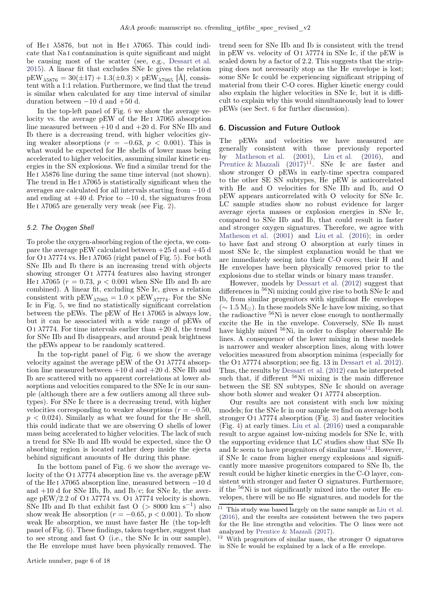of He<sub>I</sub>  $\lambda$ 5876, but not in He<sub>I</sub>  $\lambda$ 7065. This could indicate that Na i contamination is quite significant and might be causing most of the scatter (see, e.g., [Dessart et al.](#page-8-45) [2015\)](#page-8-45). A linear fit that excludes SNe Ic gives the relation  $pEW_{\lambda5876} = 30(\pm 17) + 1.3(\pm 0.3) \times pEW_{\lambda7065}$  [Å], consistent with a 1:1 relation. Furthermore, we find that the trend is similar when calculated for any time interval of similar duration between  $-10$  d and  $+50$  d.

In the top-left panel of Fig. [6](#page-14-0) we show the average velocity vs. the average pEW of the He<sub>I</sub>  $\lambda$ 7065 absorption line measured between +10 d and +20 d. For SNe IIb and Ib there is a decreasing trend, with higher velocities giving weaker absorptions  $(r = -0.63, p < 0.001)$ . This is what would be expected for He shells of lower mass being accelerated to higher velocities, assuming similar kinetic energies in the SN explosions. We find a similar trend for the He I  $\lambda$ 5876 line during the same time interval (not shown). The trend in He<sub>I</sub>  $\lambda$ 7065 is statistically significant when the averages are calculated for all intervals starting from −10 d and ending at  $+40$  d. Prior to  $-10$  d, the signatures from He I  $\lambda$ 7065 are generally very weak (see Fig. [2\)](#page-10-0).

### 5.2. The Oxygen Shell

To probe the oxygen-absorbing region of the ejecta, we compare the average pEW calculated between  $+25$  d and  $+45$  d for O I  $\lambda$ 7774 vs. He I  $\lambda$ 7065 (right panel of Fig. [5\)](#page-13-0). For both SNe IIb and Ib there is an increasing trend with objects showing stronger O I  $\lambda$ 7774 features also having stronger He I  $\lambda$ 7065 ( $r = 0.73$ ,  $p < 0.001$  when SNe IIb and Ib are combined). A linear fit, excluding SNe Ic, gives a relation consistent with pEW<sub> $\lambda$ 7065</sub> = 1.0 × pEW<sub> $\lambda$ 7774</sub>. For the SNe Ic in Fig. [5,](#page-13-0) we find no statistically significant correlation between the pEWs. The pEW of He I  $\lambda$ 7065 is always low, but it can be associated with a wide range of pEWs of O I  $\lambda$ 7774. For time intervals earlier than  $+20$  d, the trend for SNe IIb and Ib disappears, and around peak brightness the pEWs appear to be randomly scattered.

In the top-right panel of Fig. [6](#page-14-0) we show the average velocity against the average pEW of the O i  $\lambda$ 7774 absorption line measured between +10 d and +20 d. SNe IIb and Ib are scattered with no apparent correlations at lower absorptions and velocities compared to the SNe Ic in our sample (although there are a few outliers among all three subtypes). For SNe Ic there is a decreasing trend, with higher velocities corresponding to weaker absorptions ( $r = -0.50$ ,  $p < 0.024$ ). Similarly as what we found for the He shell, this could indicate that we are observing O shells of lower mass being accelerated to higher velocities. The lack of such a trend for SNe Ib and IIb would be expected, since the O absorbing region is located rather deep inside the ejecta behind significant amounts of He during this phase.

In the bottom panel of Fig. [6](#page-14-0) we show the average velocity of the O<sub>I</sub>  $\lambda$ 7774 absorption line vs. the average pEW of the He i  $\lambda$ 7065 absorption line, measured between −10 d and  $+10$  d for SNe IIb, Ib, and Ib/c; for SNe Ic, the average pEW/2.2 of O i  $\lambda$ 7774 vs. O i  $\lambda$ 7774 velocity is shown. SNe IIb and Ib that exhibit fast  $O$  (> 8000 km s<sup>-1</sup>) also show weak He absorption ( $r = -0.65$ ,  $p < 0.001$ ). To show weak He absorption, we must have faster He (the top-left panel of Fig. [6\)](#page-14-0). These findings, taken together, suggest that to see strong and fast O (i.e., the SNe Ic in our sample), the He envelope must have been physically removed. The trend seen for SNe IIb and Ib is consistent with the trend in pEW vs. velocity of  $O<sub>I</sub>$   $\lambda$ 7774 in SNe Ic, if the pEW is scaled down by a factor of 2.2. This suggests that the stripping does not necessarily stop as the He envelope is lost; some SNe Ic could be experiencing significant stripping of material from their C-O cores. Higher kinetic energy could also explain the higher velocities in SNe Ic, but it is difficult to explain why this would simultaneously lead to lower pEWs (see Sect. [6](#page-5-0) for further discussion).

## <span id="page-5-0"></span>6. Discussion and Future Outlook

The pEWs and velocities we have measured are generally consistent with those previously reported by [Matheson et al.](#page-8-12) [\(2001\)](#page-8-12), [Liu et al.](#page-8-13) [\(2016\)](#page-8-13), and [Prentice & Mazzali](#page-8-48)  $(2017)^{11}$  $(2017)^{11}$  $(2017)^{11}$  $(2017)^{11}$ . SNe Ic are faster and show stronger O pEWs in early-time spectra compared to the other SE SN subtypes, He pEW is anticorrelated with He and O velocities for SNe IIb and Ib, and O pEW appears anticorrelated with O velocity for SNe Ic. LC sample studies show no robust evidence for larger average ejecta masses or explosion energies in SNe Ic, compared to SNe IIb and Ib, that could result in faster and stronger oxygen signatures. Therefore, we agree with [Matheson et al.](#page-8-12) [\(2001](#page-8-12)) and [Liu et al.](#page-8-13) [\(2016\)](#page-8-13); in order to have fast and strong O absorption at early times in most SNe Ic, the simplest explanation would be that we are immediately seeing into their C-O cores; their H and He envelopes have been physically removed prior to the explosions due to stellar winds or binary mass transfer.

However, models by [Dessart et al.](#page-8-9) [\(2012\)](#page-8-9) suggest that differences in  ${}^{56}\rm{Ni}$  mixing could give rise to both SNe Ic and Ib, from similar progenitors with significant He envelopes  $({\sim 1.5 M_{\odot}})$ . In these models SNe Ic have low mixing, so that the radioactive <sup>56</sup>Ni is never close enough to nonthermally excite the He in the envelope. Conversely, SNe Ib must have highly mixed <sup>56</sup>Ni, in order to display observable He lines. A consequence of the lower mixing in these models is narrower and weaker absorption lines, along with lower velocities measured from absorption minima (especially for the O I  $\lambda$ 7774 absorption; see fig. 13 in [Dessart et al. 2012\)](#page-8-9). Thus, the results by [Dessart et al.](#page-8-9) [\(2012\)](#page-8-9) can be interpreted such that, if different  $56$ Ni mixing is the main difference between the SE SN subtypes, SNe Ic should on average show both slower and weaker O I  $\lambda$ 7774 absorption.

Our results are not consistent with such low mixing models; for the SNe Ic in our sample we find on average both stronger O I  $\lambda$ 7774 absorption (Fig. [3\)](#page-11-0) and faster velocities (Fig. [4\)](#page-12-0) at early times. [Liu et al.](#page-8-13) [\(2016](#page-8-13)) used a comparable result to argue against low-mixing models for SNe Ic, with the supporting evidence that LC studies show that SNe Ib and Ic seem to have progenitors of similar  ${\rm mass}^{12}.$  ${\rm mass}^{12}.$  ${\rm mass}^{12}.$  However, if SNe Ic came from higher energy explosions and significantly more massive progenitors compared to SNe Ib, the result could be higher kinetic energies in the C-O layer, consistent with stronger and faster O signatures. Furthermore, if the <sup>56</sup>Ni is not significantly mixed into the outer He envelopes, there will be no He signatures, and models for the

<span id="page-5-1"></span> $11$  This study was based largely on the same sample as [Liu et al.](#page-8-13) [\(2016](#page-8-13)), and the results are consistent between the two papers for the He line strengths and velocities. The O lines were not analyzed by [Prentice & Mazzali](#page-8-48) [\(2017\)](#page-8-48).

<span id="page-5-2"></span><sup>12</sup> With progenitors of similar mass, the stronger O signatures in SNe Ic would be explained by a lack of a He envelope.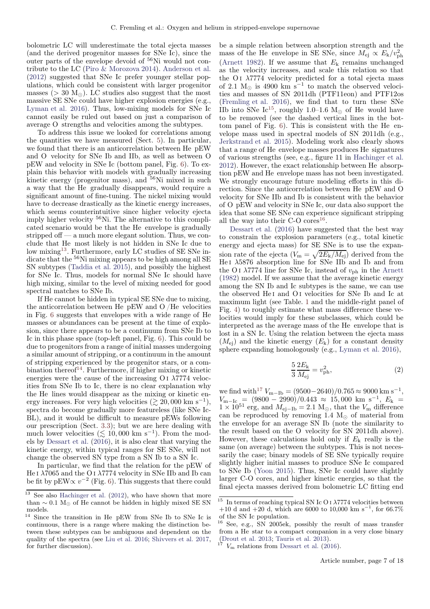bolometric LC will underestimate the total ejecta masses (and the derived progenitor masses for SNe Ic), since the outer parts of the envelope devoid of <sup>56</sup>Ni would not contribute to the LC (Piro  $\&$  Morozova 2014). [Anderson et al.](#page-8-49) [\(2012\)](#page-8-49) suggested that SNe Ic prefer younger stellar populations, which could be consistent with larger progenitor masses ( $> 30$  M<sub>☉</sub>). LC studies also suggest that the most massive SE SNe could have higher explosion energies (e.g., [Lyman et al. 2016](#page-8-44)). Thus, low-mixing models for SNe Ic cannot easily be ruled out based on just a comparison of average O strengths and velocities among the subtypes.

To address this issue we looked for correlations among the quantities we have measured (Sect. [5\)](#page-4-0). In particular, we found that there is an anticorrelation between He pEW and O velocity for SNe Ib and IIb, as well as between O pEW and velocity in SNe Ic (bottom panel, Fig. [6\)](#page-14-0). To explain this behavior with models with gradually increasing kinetic energy (progenitor mass), and <sup>56</sup>Ni mixed in such a way that the He gradually disappears, would require a significant amount of fine-tuning. The nickel mixing would have to decrease drastically as the kinetic energy increases, which seems counterintuitive since higher velocity ejecta imply higher velocity <sup>56</sup>Ni. The alternative to this complicated scenario would be that the He envelope is gradually stripped off — a much more elegant solution. Thus, we conclude that He most likely is not hidden in SNe Ic due to low mixing<sup>[13](#page-6-0)</sup>. Furthermore, early LC studies of SE SNe indicate that the <sup>56</sup>Ni mixing appears to be high among all SE SN subtypes [\(Taddia et al. 2015\)](#page-8-31), and possibly the highest for SNe Ic. Thus, models for normal SNe Ic should have high mixing, similar to the level of mixing needed for good spectral matches to SNe Ib.

If He cannot be hidden in typical SE SNe due to mixing, the anticorrelation between He pEW and O /He velocities in Fig. [6](#page-14-0) suggests that envelopes with a wide range of He masses or abundances can be present at the time of explosion, since there appears to be a continuum from SNe Ib to Ic in this phase space (top-left panel, Fig. [6\)](#page-14-0). This could be due to progenitors from a range of initial masses undergoing a similar amount of stripping, or a continuum in the amount of stripping experienced by the progenitor stars, or a combination thereof $14$ . Furthermore, if higher mixing or kinetic energies were the cause of the increasing O i  $\lambda$ 7774 velocities from SNe Ib to Ic, there is no clear explanation why the He lines would disappear as the mixing or kinetic energy increases. For very high velocities  $(\gtrsim 20,000 \text{ km s}^{-1}),$ spectra do become gradually more featureless (like SNe Ic-BL), and it would be difficult to measure pEWs following our prescription (Sect. [3.3\)](#page-2-6); but we are here dealing with much lower velocities ( $\lesssim 10,000$  km s<sup>-1</sup>). From the models by [Dessart et al.](#page-8-46) [\(2016\)](#page-8-46), it is also clear that varying the kinetic energy, within typical ranges for SE SNe, will not change the observed SN type from a SN Ib to a SN Ic.

In particular, we find that the relation for the pEW of He I  $\lambda$ 7065 and the O I  $\lambda$ 7774 velocity in SNe IIb and Ib can be fit by  $pEW \propto v^{-2}$  (Fig. [6\)](#page-14-0). This suggests that there could

be a simple relation between absorption strength and the mass of the He envelope in SE SNe, since  $M_{\rm ej} \propto E_{\rm k}/v_{\rm ph}^2$ [\(Arnett 1982\)](#page-8-41). If we assume that  $E_k$  remains unchanged as the velocity increases, and scale this relation so that the O<sub>I</sub>  $\lambda$ 7774 velocity predicted for a total ejecta mass of 2.1  $M_{\odot}$  is 4900 km s<sup>-1</sup> to match the observed velocities and masses of SN 2011dh (PTF11eon) and PTF12os [\(Fremling et al. 2016\)](#page-8-17), we find that to turn these SNe IIb into SNe Ic<sup>[15](#page-6-2)</sup>, roughly 1.0–1.6 M<sub>o</sub> of He would have to be removed (see the dashed vertical lines in the bottom panel of Fig. [6\)](#page-14-0). This is consistent with the He envelope mass used in spectral models of SN 2011dh (e.g., [Jerkstrand et al. 2015](#page-8-51)). Modeling work also clearly shows that a range of He envelope masses produces He signatures of various strengths (see, e.g., figure 11 in [Hachinger et al.](#page-8-50) [2012\)](#page-8-50). However, the exact relationship between He absorption pEW and He envelope mass has not been investigated. We strongly encourage future modeling efforts in this direction. Since the anticorrelation between He pEW and O velocity for SNe IIb and Ib is consistent with the behavior of O pEW and velocity in SNe Ic, our data also support the idea that some SE SNe can experience significant stripping all the way into their  $C-O$  cores<sup>[16](#page-6-3)</sup>.

[Dessart et al.](#page-8-46) [\(2016\)](#page-8-46) have suggested that the best way to constrain the explosion parameters (e.g., total kinetic energy and ejecta mass) for SE SNe is to use the expansion rate of the ejecta  $(V_{\rm m} = \sqrt{2E_{\rm k}/M_{\rm ej}})$  derived from the He I  $\lambda$ 5876 absorption line for SNe IIb and Ib and from the O I  $\lambda$ 7774 line for SNe Ic, instead of  $v_{\rm ph}$  in the [Arnett](#page-8-41) [\(1982](#page-8-41)) model. If we assume that the average kinetic energy among the SN Ib and Ic subtypes is the same, we can use the observed He i and O i velocities for SNe Ib and Ic at maximum light (see Table. [1](#page-3-2) and the middle-right panel of Fig. [4\)](#page-12-0) to roughly estimate what mass difference these velocities would imply for these subclasses, which could be interpreted as the average mass of the He envelope that is lost in a SN Ic. Using the relation between the ejecta mass  $(M_{\rm ei})$  and the kinetic energy  $(E_{\rm k})$  for a constant density sphere expanding homologously (e.g., [Lyman et al. 2016\)](#page-8-44),

$$
\frac{5}{3} \frac{2E_{\rm k}}{M_{\rm ej}} = v_{\rm ph}^2,
$$
\n(2)

we find with<sup>[17](#page-6-4)</sup>  $V_{\text{m--Ib}} = (9500-2640)/0.765 \approx 9000 \text{ km s}^{-1}$ ,  $V_{\text{m}-\text{Ic}} = (9800 - 2990)/0.443 \approx 15,000 \text{ km s}^{-1}, E_{\text{k}} =$  $1 \times 10^{51}$  erg, and  $M_{\text{ej}-\text{Ib}} = 2.1 \text{ M}_{\odot}$ , that the  $V_{\text{m}}$  difference can be reproduced by removing 1.4  $M_{\odot}$  of material from the envelope for an average SN Ib (note the similarity to the result based on the O velocity for SN 2011dh above). However, these calculations hold only if  $E_k$  really is the same (on average) between the subtypes. This is not necessarily the case; binary models of SE SNe typically require slightly higher initial masses to produce SNe Ic compared to SNe Ib [\(Yoon 2015\)](#page-8-7). Thus, SNe Ic could have slightly larger C-O cores, and higher kinetic energies, so that the final ejecta masses derived from bolometric LC fitting end

<span id="page-6-0"></span> $\frac{13}{13}$  See also [Hachinger et al.](#page-8-50) [\(2012](#page-8-50)), who have shown that more than  $\sim 0.1 \text{ M}_{\odot}$  of He cannot be hidden in highly mixed SE SN models.

<span id="page-6-1"></span><sup>14</sup> Since the transition in He pEW from SNe Ib to SNe Ic is continuous, there is a range where making the distinction between these subtypes can be ambiguous and dependent on the quality of the spectra (see [Liu et al. 2016](#page-8-13); [Shivvers et al. 2017](#page-8-35), for further discussion).

<span id="page-6-2"></span> $^{15}\,$  In terms of reaching typical SN Ic O i  $\lambda7774$  velocities between +10 d and +20 d, which are 6000 to 10,000 km s<sup>-1</sup>, for 66.7% of the SN Ic population.

<span id="page-6-3"></span><sup>16</sup> See, e.g., SN 2005ek, possibly the result of mass transfer from a He star to a compact companion in a very close binary [\(Drout et al. 2013;](#page-8-52) [Tauris et al. 2013\)](#page-8-53).

<span id="page-6-4"></span> $V<sub>m</sub>$  relations from [Dessart et al.](#page-8-46) [\(2016](#page-8-46)).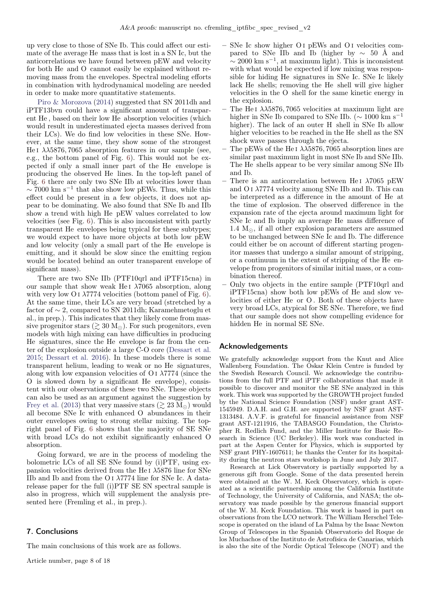up very close to those of SNe Ib. This could affect our estimate of the average He mass that is lost in a SN Ic, but the anticorrelations we have found between pEW and velocity for both He and O cannot easily be explained without removing mass from the envelopes. Spectral modeling efforts in combination with hydrodynamical modeling are needed in order to make more quantitative statements.

[Piro & Morozova](#page-8-10) [\(2014](#page-8-10)) suggested that SN 2011dh and iPTF13bvn could have a significant amount of transparent He , based on their low He absorption velocities (which would result in underestimated ejecta masses derived from their LCs). We do find low velocities in these SNe. However, at the same time, they show some of the strongest He I  $\lambda\lambda$ 5876, 7065 absorption features in our sample (see, e.g., the bottom panel of Fig. [6\)](#page-14-0). This would not be expected if only a small inner part of the He envelope is producing the observed He lines. In the top-left panel of Fig. [6](#page-14-0) there are only two SNe IIb at velocities lower than  $\sim$  7000 km s<sup>-1</sup> that also show low pEWs. Thus, while this effect could be present in a few objects, it does not appear to be dominating. We also found that SNe Ib and IIb show a trend with high He pEW values correlated to low velocities (see Fig. [6\)](#page-14-0). This is also inconsistent with partly transparent He envelopes being typical for these subtypes; we would expect to have more objects at both low pEW and low velocity (only a small part of the He envelope is emitting, and it should be slow since the emitting region would be located behind an outer transparent envelope of significant mass).

There are two SNe IIb (PTF10qrl and iPTF15cna) in our sample that show weak He<sub>I</sub>  $\lambda$ 7065 absorption, along with very low O i  $\lambda$ 7774 velocities (bottom panel of Fig. [6\)](#page-14-0). At the same time, their LCs are very broad (stretched by a factor of ∼ 2, compared to SN 2011dh; Karamehmetoglu et al., in prep.). This indicates that they likely come from massive progenitor stars ( $\gtrsim 30$  M<sub>☉</sub>). For such progenitors, even models with high mixing can have difficulties in producing He signatures, since the He envelope is far from the center of the explosion outside a large C-O core [\(Dessart et al.](#page-8-45) [2015;](#page-8-45) [Dessart et al. 2016\)](#page-8-46). In these models there is some transparent helium, leading to weak or no He signatures, along with low expansion velocities of  $O<sub>I</sub>$   $\lambda$ 7774 (since the O is slowed down by a significant He envelope), consistent with our observations of these two SNe. These objects can also be used as an argument against the suggestion by [Frey et al.](#page-8-8) [\(2013](#page-8-8)) that very massive stars ( $\gtrsim 23$  M<sub>☉</sub>) would all become SNe Ic with enhanced O abundances in their outer envelopes owing to strong stellar mixing. The topright panel of Fig. [6](#page-14-0) shows that the majority of SE SNe with broad LCs do not exhibit significantly enhanced O absorption.

Going forward, we are in the process of modeling the bolometric LCs of all SE SNe found by (i)PTF, using expansion velocities derived from the He I  $\lambda$ 5876 line for SNe IIb and Ib and from the O I  $\lambda$ 7774 line for SNe Ic. A datarelease paper for the full (i)PTF SE SN spectral sample is also in progress, which will supplement the analysis presented here (Fremling et al., in prep.).

## 7. Conclusions

The main conclusions of this work are as follows.

- SNe Ic show higher O i pEWs and O i velocities compared to SNe IIb and Ib (higher by  $\sim$  50 Å and  $\sim$  2000 km s<sup>-1</sup>, at maximum light). This is inconsistent with what would be expected if low mixing was responsible for hiding He signatures in SNe Ic. SNe Ic likely lack He shells; removing the He shell will give higher velocities in the O shell for the same kinetic energy in the explosion.
- The He<sub>I</sub>  $\lambda\lambda$ 5876, 7065 velocities at maximum light are higher in SNe Ib compared to SNe IIb. ( $\sim 1000$  km s<sup>-1</sup> higher). The lack of an outer H shell in SNe Ib allow higher velocities to be reached in the He shell as the SN shock wave passes through the ejecta.
- The pEWs of the He I  $\lambda\lambda$ 5876, 7065 absorption lines are similar past maximum light in most SNe Ib and SNe IIb. The He shells appear to be very similar among SNe IIb and Ib.
- There is an anticorrelation between He<sub>I</sub>  $\lambda$ 7065 pEW and  $O<sub>I</sub>$   $\lambda$ 7774 velocity among SNe IIb and Ib. This can be interpreted as a difference in the amount of He at the time of explosion. The observed difference in the expansion rate of the ejecta around maximum light for SNe Ic and Ib imply an average He mass difference of 1.4  $M_{\odot}$ , if all other explosion parameters are assumed to be unchanged between SNe Ic and Ib. The difference could either be on account of different starting progenitor masses that undergo a similar amount of stripping, or a continuum in the extent of stripping of the He envelope from progenitors of similar initial mass, or a combination thereof.
- Only two objects in the entire sample (PTF10qrl and iPTF15cna) show both low pEWs of He and slow velocities of either He or O . Both of these objects have very broad LCs, atypical for SE SNe. Therefore, we find that our sample does not show compelling evidence for hidden He in normal SE SNe.

## Acknowledgements

We gratefully acknowledge support from the Knut and Alice Wallenberg Foundation. The Oskar Klein Centre is funded by the Swedish Research Council. We acknowledge the contributions from the full PTF and iPTF collaborations that made it possible to discover and monitor the SE SNe analyzed in this work. This work was supported by the GROWTH project funded by the National Science Foundation (NSF) under grant AST-1545949. D.A.H. and G.H. are supported by NSF grant AST-1313484. A.V.F. is grateful for financial assistance from NSF grant AST-1211916, the TABASGO Foundation, the Christopher R. Redlich Fund, and the Miller Institute for Basic Research in Science (UC Berkeley). His work was conducted in part at the Aspen Center for Physics, which is supported by NSF grant PHY-1607611; he thanks the Center for its hospitality during the neutron stars workshop in June and July 2017.

Research at Lick Observatory is partially supported by a generous gift from Google. Some of the data presented herein were obtained at the W. M. Keck Observatory, which is operated as a scientific partnership among the California Institute of Technology, the University of California, and NASA; the observatory was made possible by the generous financial support of the W. M. Keck Foundation. This work is based in part on observations from the LCO network. The William Herschel Telescope is operated on the island of La Palma by the Isaac Newton Group of Telescopes in the Spanish Observatorio del Roque de los Muchachos of the Instituto de Astrofísica de Canarias, which is also the site of the Nordic Optical Telescope (NOT) and the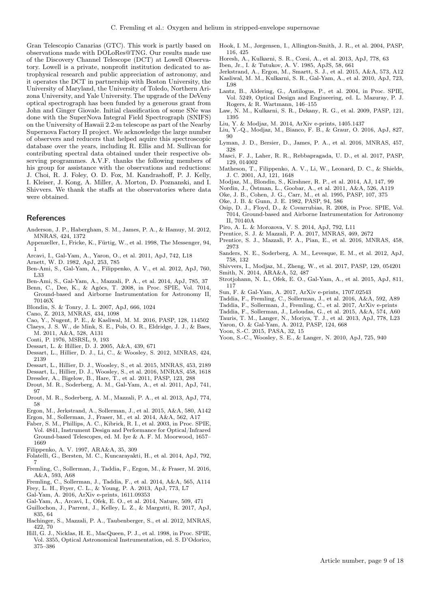Gran Telescopio Canarias (GTC). This work is partly based on observations made with DOLoRes@TNG. Our results made use of the Discovery Channel Telescope (DCT) at Lowell Observatory. Lowell is a private, nonprofit institution dedicated to astrophysical research and public appreciation of astronomy, and it operates the DCT in partnership with Boston University, the University of Maryland, the University of Toledo, Northern Arizona University, and Yale University. The upgrade of the DeVeny optical spectrograph has been funded by a generous grant from John and Ginger Giovale. Initial classification of some SNe was done with the SuperNova Integral Field Spectrograph (SNIFS) on the University of Hawaii 2.2-m telescope as part of the Nearby Supernova Factory II project. We acknowledge the large number of observers and reducers that helped aquire this spectroscopic database over the years, including R. Ellis and M. Sullivan for contributing spectral data obtained under their respective observing programmes. A.V.F. thanks the following members of his group for assistance with the observations and reductions: J. Choi, R. J. Foley, O. D. Fox, M. Kandrashoff, P. J. Kelly, I. Kleiser, J. Kong, A. Miller, A. Morton, D. Poznanski, and I. Shivvers. We thank the staffs at the observatories where data were obtained.

## **References**

- <span id="page-8-49"></span>Anderson, J. P., Habergham, S. M., James, P. A., & Hamuy, M. 2012, MNRAS, 424, 1372
- <span id="page-8-63"></span>Appenzeller, I., Fricke, K., Fürtig, W., et al. 1998, The Messenger, 94, 1
- <span id="page-8-24"></span>Arcavi, I., Gal-Yam, A., Yaron, O., et al. 2011, ApJ, 742, L18
- <span id="page-8-41"></span>Arnett, W. D. 1982, ApJ, 253, 785
- <span id="page-8-47"></span>Ben-Ami, S., Gal-Yam, A., Filippenko, A. V., et al. 2012, ApJ, 760, L33
- <span id="page-8-25"></span>Ben-Ami, S., Gal-Yam, A., Mazzali, P. A., et al. 2014, ApJ, 785, 37
- <span id="page-8-58"></span>Benn, C., Dee, K., & Agócs, T. 2008, in Proc. SPIE, Vol. 7014, Ground-based and Airborne Instrumentation for Astronomy II, 70146X
- <span id="page-8-32"></span>Blondin, S. & Tonry, J. L. 2007, ApJ, 666, 1024
- <span id="page-8-43"></span>Cano, Z. 2013, MNRAS, 434, 1098
- <span id="page-8-15"></span>Cao, Y., Nugent, P. E., & Kasliwal, M. M. 2016, PASP, 128, 114502
- <span id="page-8-6"></span>Claeys, J. S. W., de Mink, S. E., Pols, O. R., Eldridge, J. J., & Baes, M. 2011, A&A, 528, A131
- <span id="page-8-2"></span>Conti, P. 1976, MSRSL, 9, 193
- <span id="page-8-40"></span>Dessart, L. & Hillier, D. J. 2005, A&A, 439, 671
- <span id="page-8-9"></span>Dessart, L., Hillier, D. J., Li, C., & Woosley, S. 2012, MNRAS, 424, 2139
- <span id="page-8-45"></span>Dessart, L., Hillier, D. J., Woosley, S., et al. 2015, MNRAS, 453, 2189
- <span id="page-8-46"></span>Dessart, L., Hillier, D. J., Woosley, S., et al. 2016, MNRAS, 458, 1618
- <span id="page-8-60"></span>Dressler, A., Bigelow, B., Hare, T., et al. 2011, PASP, 123, 288
- <span id="page-8-42"></span>Drout, M. R., Soderberg, A. M., Gal-Yam, A., et al. 2011, ApJ, 741, 97
- <span id="page-8-52"></span>Drout, M. R., Soderberg, A. M., Mazzali, P. A., et al. 2013, ApJ, 774, 58
- <span id="page-8-37"></span>Ergon, M., Jerkstrand, A., Sollerman, J., et al. 2015, A&A, 580, A142
- <span id="page-8-30"></span>Ergon, M., Sollerman, J., Fraser, M., et al. 2014, A&A, 562, A17
- <span id="page-8-55"></span>Faber, S. M., Phillips, A. C., Kibrick, R. I., et al. 2003, in Proc. SPIE, Vol. 4841, Instrument Design and Performance for Optical/Infrared Ground-based Telescopes, ed. M. Iye & A. F. M. Moorwood, 1657– 1669
- <span id="page-8-0"></span>Filippenko, A. V. 1997, ARA&A, 35, 309
- <span id="page-8-11"></span>Folatelli, G., Bersten, M. C., Kuncarayakti, H., et al. 2014, ApJ, 792, 7
- <span id="page-8-17"></span>Fremling, C., Sollerman, J., Taddia, F., Ergon, M., & Fraser, M. 2016, A&A, 593, A68
- <span id="page-8-20"></span>Fremling, C., Sollerman, J., Taddia, F., et al. 2014, A&A, 565, A114
- <span id="page-8-8"></span>Frey, L. H., Fryer, C. L., & Young, P. A. 2013, ApJ, 773, L7
- <span id="page-8-1"></span>Gal-Yam, A. 2016, ArXiv e-prints, 1611.09353
- <span id="page-8-22"></span>Gal-Yam, A., Arcavi, I., Ofek, E. O., et al. 2014, Nature, 509, 471
- <span id="page-8-29"></span>Guillochon, J., Parrent, J., Kelley, L. Z., & Margutti, R. 2017, ApJ, 835, 64
- <span id="page-8-50"></span>Hachinger, S., Mazzali, P. A., Taubenberger, S., et al. 2012, MNRAS, 422, 70
- <span id="page-8-59"></span>Hill, G. J., Nicklas, H. E., MacQueen, P. J., et al. 1998, in Proc. SPIE, Vol. 3355, Optical Astronomical Instrumentation, ed. S. D'Odorico, 375–386
- <span id="page-8-57"></span>Hook, I. M., Jørgensen, I., Allington-Smith, J. R., et al. 2004, PASP, 116, 425
- <span id="page-8-23"></span>Horesh, A., Kulkarni, S. R., Corsi, A., et al. 2013, ApJ, 778, 63
- <span id="page-8-4"></span>Iben, Jr., I. & Tutukov, A. V. 1985, ApJS, 58, 661
- <span id="page-8-51"></span>Jerkstrand, A., Ergon, M., Smartt, S. J., et al. 2015, A&A, 573, A12
- <span id="page-8-38"></span>Kasliwal, M. M., Kulkarni, S. R., Gal-Yam, A., et al. 2010, ApJ, 723, L98
- <span id="page-8-62"></span>Lantz, B., Aldering, G., Antilogus, P., et al. 2004, in Proc. SPIE, Vol. 5249, Optical Design and Engineering, ed. L. Mazuray, P. J. Rogers, & R. Wartmann, 146–155
- <span id="page-8-14"></span>Law, N. M., Kulkarni, S. R., Dekany, R. G., et al. 2009, PASP, 121, 1395
- <span id="page-8-34"></span>Liu, Y. & Modjaz, M. 2014, ArXiv e-prints, 1405.1437
- <span id="page-8-13"></span>Liu, Y.-Q., Modjaz, M., Bianco, F. B., & Graur, O. 2016, ApJ, 827,  $90^{\circ}$
- <span id="page-8-44"></span>Lyman, J. D., Bersier, D., James, P. A., et al. 2016, MNRAS, 457, 328
- <span id="page-8-16"></span>Masci, F. J., Laher, R. R., Rebbapragada, U. D., et al. 2017, PASP, 129, 014002
- <span id="page-8-12"></span>Matheson, T., Filippenko, A. V., Li, W., Leonard, D. C., & Shields, J. C. 2001, AJ, 121, 1648
- <span id="page-8-33"></span>Modjaz, M., Blondin, S., Kirshner, R. P., et al. 2014, AJ, 147, 99
- <span id="page-8-36"></span>Nordin, J., Östman, L., Goobar, A., et al. 2011, A&A, 526, A119
- <span id="page-8-54"></span>Oke, J. B., Cohen, J. G., Carr, M., et al. 1995, PASP, 107, 375
- <span id="page-8-56"></span>Oke, J. B. & Gunn, J. E. 1982, PASP, 94, 586
- <span id="page-8-61"></span>Osip, D. J., Floyd, D., & Covarrubias, R. 2008, in Proc. SPIE, Vol. 7014, Ground-based and Airborne Instrumentation for Astronomy II, 70140A
- <span id="page-8-10"></span>Piro, A. L. & Morozova, V. S. 2014, ApJ, 792, L11
- <span id="page-8-48"></span>Prentice, S. J. & Mazzali, P. A. 2017, MNRAS, 469, 2672
- <span id="page-8-18"></span>Prentice, S. J., Mazzali, P. A., Pian, E., et al. 2016, MNRAS, 458, 2973
- <span id="page-8-26"></span>Sanders, N. E., Soderberg, A. M., Levesque, E. M., et al. 2012, ApJ, 758, 132
- <span id="page-8-35"></span>Shivvers, I., Modjaz, M., Zheng, W., et al. 2017, PASP, 129, 054201 Smith, N. 2014, ARA&A, 52, 487
- <span id="page-8-19"></span><span id="page-8-3"></span>Strotjohann, N. L., Ofek, E. O., Gal-Yam, A., et al. 2015, ApJ, 811, 117
- <span id="page-8-39"></span>Sun, F. & Gal-Yam, A. 2017, ArXiv e-prints, 1707.02543
- <span id="page-8-21"></span>Taddia, F., Fremling, C., Sollerman, J., et al. 2016, A&A, 592, A89
- <span id="page-8-27"></span>Taddia, F., Sollerman, J., Fremling, C., et al. 2017, ArXiv e-prints
- <span id="page-8-31"></span>Taddia, F., Sollerman, J., Leloudas, G., et al. 2015, A&A, 574, A60
- <span id="page-8-53"></span>Tauris, T. M., Langer, N., Moriya, T. J., et al. 2013, ApJ, 778, L23
- <span id="page-8-28"></span>Yaron, O. & Gal-Yam, A. 2012, PASP, 124, 668
- Yoon, S.-C. 2015, PASA, 32, 15
- <span id="page-8-7"></span>
- <span id="page-8-5"></span>Yoon, S.-C., Woosley, S. E., & Langer, N. 2010, ApJ, 725, 940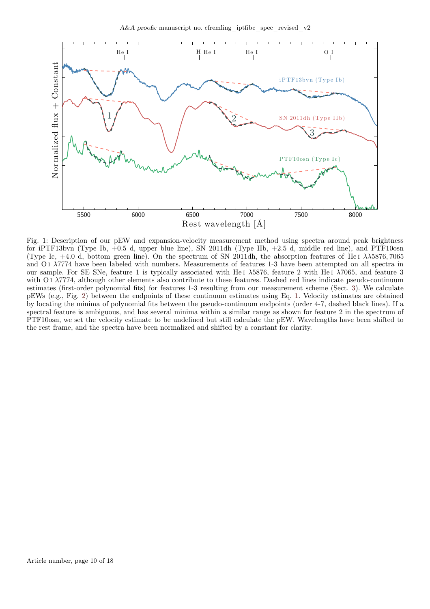<span id="page-9-0"></span>

Fig. 1: Description of our pEW and expansion-velocity measurement method using spectra around peak brightness for iPTF13bvn (Type Ib, +0.5 d, upper blue line), SN 2011dh (Type IIb, +2.5 d, middle red line), and PTF10osn (Type Ic,  $+4.0$  d, bottom green line). On the spectrum of SN 2011dh, the absorption features of He i  $\lambda\lambda$ 5876, 7065 and O<sub>I</sub>  $\lambda$ 7774 have been labeled with numbers. Measurements of features 1-3 have been attempted on all spectra in our sample. For SE SNe, feature 1 is typically associated with He<sub>I</sub>  $\lambda$ 5876, feature 2 with He<sub>I</sub>  $\lambda$ 7065, and feature 3 with Ο i λ7774, although other elements also contribute to these features. Dashed red lines indicate pseudo-continuum estimates (first-order polynomial fits) for features 1-3 resulting from our measurement scheme (Sect. [3\)](#page-2-0). We calculate pEWs (e.g., Fig. [2\)](#page-10-0) between the endpoints of these continuum estimates using Eq. [1.](#page-2-7) Velocity estimates are obtained by locating the minima of polynomial fits between the pseudo-continuum endpoints (order 4-7, dashed black lines). If a spectral feature is ambiguous, and has several minima within a similar range as shown for feature 2 in the spectrum of PTF10osn, we set the velocity estimate to be undefined but still calculate the pEW. Wavelengths have been shifted to the rest frame, and the spectra have been normalized and shifted by a constant for clarity.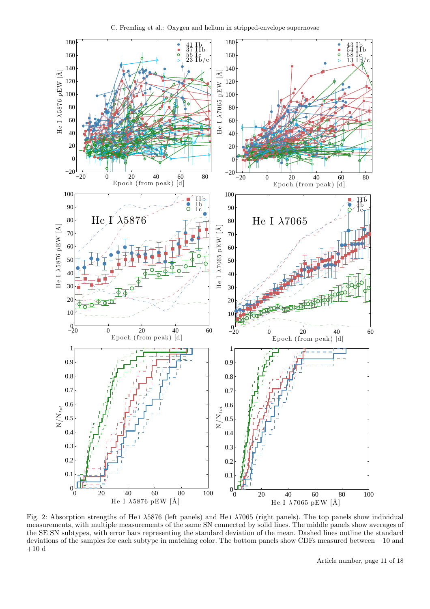<span id="page-10-0"></span>

Fig. 2: Absorption strengths of He<sub>I</sub>  $\lambda$ 5876 (left panels) and He<sub>I</sub>  $\lambda$ 7065 (right panels). The top panels show individual measurements, with multiple measurements of the same SN connected by solid lines. The middle panels show averages of the SE SN subtypes, with error bars representing the standard deviation of the mean. Dashed lines outline the standard deviations of the samples for each subtype in matching color. The bottom panels show CDFs measured between −10 and  $+10\ \mathrm{d}$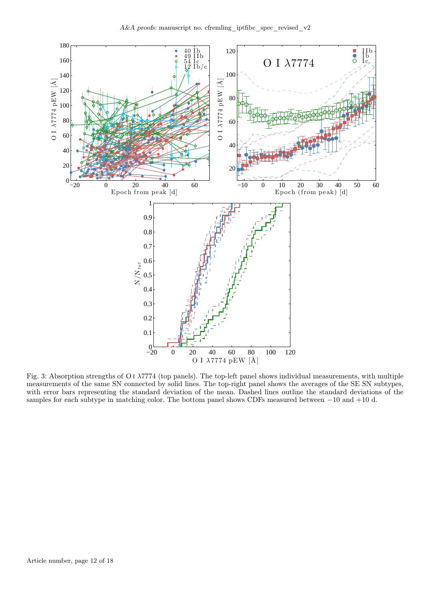<span id="page-11-0"></span>

Fig. 3: Absorption strengths of O i λ7774 (top panels). The top-left panel shows individual measurements, with multiple measurements of the same SN connected by solid lines. The top-right panel shows the averages of the SE SN subtypes, with error bars representing the standard deviation of the mean. Dashed lines outline the standard deviations of the samples for each subtype in matching color. The bottom panel shows CDFs measured between −10 and +10 d.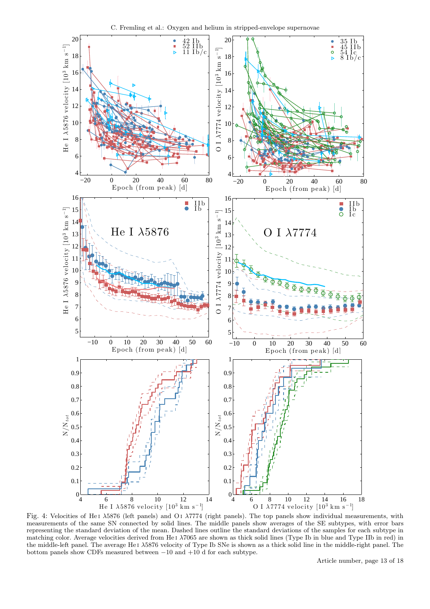<span id="page-12-0"></span>

C. Fremling et al.: Oxygen and helium in stripped-envelope supernovae

Fig. 4: Velocities of He1  $\lambda$ 5876 (left panels) and O1  $\lambda$ 7774 (right panels). The top panels show individual measurements, with measurements of the same SN connected by solid lines. The middle panels show averages of the SE subtypes, with error bars representing the standard deviation of the mean. Dashed lines outline the standard deviations of the samples for each subtype in matching color. Average velocities derived from He<sub>I</sub>  $\lambda$ 7065 are shown as thick solid lines (Type Ib in blue and Type IIb in red) in the middle-left panel. The average He i λ5876 velocity of Type Ib SNe is shown as a thick solid line in the middle-right panel. The bottom panels show CDFs measured between  $-10$  and  $+10$  d for each subtype.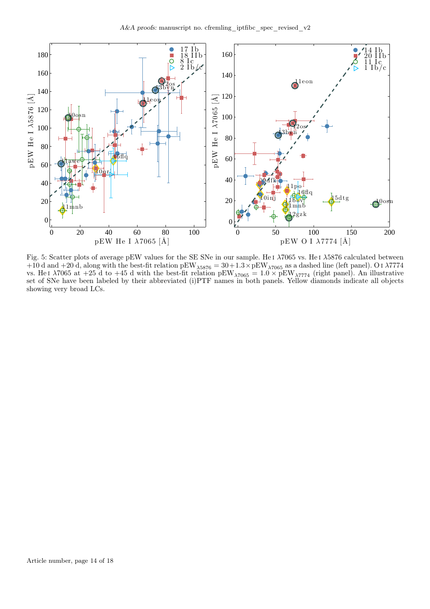<span id="page-13-0"></span>

Fig. 5: Scatter plots of average pEW values for the SE SNe in our sample. He i λ7065 vs. He i λ5876 calculated between  $+10$  d and  $+20$  d, along with the best-fit relation pEW<sub> $\lambda$ 5876</sub> = 30+1.3 × pEW<sub> $\lambda$ 7065</sub> as a dashed line (left panel). O i  $\lambda$ 7774 vs. He i  $\lambda$ 7065 at +25 d to +45 d with the best-fit relation pEW<sub> $\lambda$ 7065</sub> = 1.0  $\times$  pEW<sub> $\lambda$ 7774</sub> (right panel). An illustrative set of SNe have been labeled by their abbreviated (i)PTF names in both panels. Yellow diamonds indicate all objects showing very broad LCs.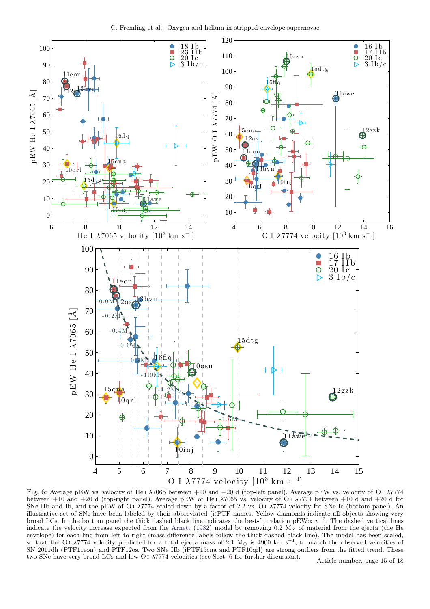<span id="page-14-0"></span>![](_page_14_Figure_1.jpeg)

Fig. 6: Average pEW vs. velocity of He<sub>1</sub>  $\lambda$ 7065 between +10 and +20 d (top-left panel). Average pEW vs. velocity of O<sub>1</sub>  $\lambda$ 7774 between  $+10$  and  $+20$  d (top-right panel). Average pEW of He i  $\lambda$ 7065 vs. velocity of O i  $\lambda$ 7774 between  $+10$  d and  $+20$  d for SNe IIb and Ib, and the pEW of O<sub>I</sub>  $\lambda$ 7774 scaled down by a factor of 2.2 vs. O<sub>I</sub>  $\lambda$ 7774 velocity for SNe Ic (bottom panel). An illustrative set of SNe have been labeled by their abbreviated (i)PTF names. Yellow diamonds indicate all objects showing very broad LCs. In the bottom panel the thick dashed black line indicates the best-fit relation pEW $\propto v^{-2}$ . The dashed vertical lines indicate the velocity increase expected from the [Arnett](#page-8-41) [\(1982\)](#page-8-41) model by removing 0.2  $M_{\odot}$  of material from the ejecta (the He envelope) for each line from left to right (mass-difference labels follow the thick dashed black line). The model has been scaled, so that the O<sub>I</sub>  $\lambda$ 7774 velocity predicted for a total ejecta mass of 2.1 M<sub>☉</sub> is 4900 km s<sup>-1</sup>, to match the observed velocities of SN 2011dh (PTF11eon) and PTF12os. Two SNe IIb (iPTF15cna and PTF10qrl) are strong outliers from the fitted trend. These two SNe have very broad LCs and low O<sub>1</sub>  $\lambda$ 7774 velocities (see Sect. [6](#page-5-0) for further discussion). Article number, page 15 of 18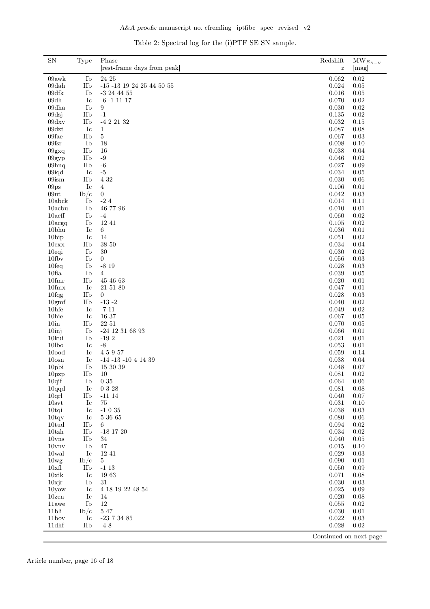|  | Table 2: Spectral log for the (i)PTF SE SN sample. |  |  |  |  |  |
|--|----------------------------------------------------|--|--|--|--|--|
|--|----------------------------------------------------|--|--|--|--|--|

<span id="page-15-0"></span>

| $\boldsymbol{z}$<br>Ib<br>24 25<br>09awk<br>0.062<br>0.02<br>IIb<br>$\mbox{-}15$ -13 19 24 25 44 50 55<br>$\,0.024\,$<br>$0.05\,$<br>09dah<br>$09\mathrm{d} \mathrm{f} \mathrm{k}$<br>0.016<br>Ib<br>$-3$ 24 44 55<br>$0.05\,$<br>09dh<br>Ic<br>0.070<br>$\rm 0.02$<br>$-6 - 11117$<br>Ib<br>$\rm 0.02$<br>09dha<br>0.030<br>9<br>09dsj<br>IIb<br>$-1$<br>0.135<br>$\rm 0.02$<br>09dxx<br>$-422132$<br>0.032<br>0.15<br>IIb<br>$09\text{d}z\text{t}$<br>Ic<br>0.087<br>0.08<br>1<br>$09\mathrm{fae}$<br>IIb<br>$\bf 5$<br>0.067<br>0.03<br>$09$ fsr<br>Ib<br>18<br>0.008<br>0.10<br>IIb<br>0.038<br>0.04<br>09gxq<br>16<br>IIb<br>$-9$<br>0.046<br>0.02<br>09gyp<br>IIb<br>$-6$<br>0.027<br>$0.09\,$<br>09 <sub>hnq</sub><br>$-5$<br>$\,0.034\,$<br>$0.05\,$<br>09iqd<br>Ic<br>$09$ ism<br>IIb<br>4 3 2<br>0.030<br>$0.06\,$<br>Ic<br>09 <sub>ps</sub><br>4<br>0.106<br>0.01<br>09ut<br>$\mathbf{0}$<br>0.042<br>$\rm 0.03$<br>$\rm{Ib}/\rm{c}$<br>$\mbox{-}2$ 4<br>10abck<br>Ib<br>0.014<br>0.11<br>46 77 96<br>$10$ acbu<br>Ib<br>0.010<br>$0.01\,$<br>$10\text{acff}$<br>Ib<br>$-4$<br>0.060<br>$\rm 0.02$<br>Ib<br>12 41<br>0.105<br>0.02<br>$10ac$ gq<br>10 <sub>bhu</sub><br>Ic<br>0.036<br>$0.01\,$<br>6<br>14<br>$10$ bip<br>Ic<br>0.051<br>0.02<br>IIb<br>38 50<br>0.034<br>0.04<br>10cxx<br>10eqi<br>Ib<br>30<br>0.030<br>0.02<br>Ib<br>$\rm 0.03$<br>$10$ fb $v$<br>$\overline{0}$<br>0.056<br>$10f$ eq<br>Ib<br>$-819$<br>0.028<br>0.03<br>$10$ fia<br>Ib<br>0.039<br>$0.05\,$<br>$\overline{4}$<br>$10$ fmr<br>IIb<br>45 46 63<br>0.020<br>0.01<br>$10$ fm $x$<br>Ic<br>21 51 80<br>0.047<br>0.01<br>$10$ fqg<br>IIb<br>0.028<br>$\rm 0.03$<br>$\overline{0}$<br>-13 -2<br>IIb<br>0.040<br>$\rm 0.02$<br>10gmf<br>10hfe<br>Ic<br>$-711$<br>0.049<br>0.02<br>$10$ hie<br>Ic<br>16 37<br>0.067<br>$0.05\,$<br>22 51<br>10 <sub>in</sub><br>IIb<br>0.070<br>0.05<br>10 <sub>inj</sub><br>Ib<br>$-24$ 12 31 68 93<br>0.066<br>0.01<br>10kui<br>Ib<br>$-192$<br>0.021<br>$0.01\,$<br>$-8$<br>10 <sub>lbo</sub><br>Ic<br>0.053<br>0.01<br>10 <sub>ood</sub><br>Ic<br>45957<br>0.059<br>0.14<br>10 <sub>osn</sub><br>Ic<br>$-14$ $-13$ $-10$ $4$ $14$ $39$<br>0.038<br>$0.04\,$<br>10pbi<br>Ib<br>15 30 39<br>$0.07\,$<br>0.048<br>IIb<br>10<br>0.081<br>0.02<br>10 <sub>pzp</sub><br>$0\ 35$<br>$0.06\,$<br>$10q$ if<br>Ib<br>$\,0.064\,$<br>Ic<br>0 3 28<br>$10q\ldots$<br>0.081<br>0.08<br>10qrl<br>IIb<br>0.040<br>0.07<br>$-11114$<br>10 <sub>svt</sub><br>Ic<br>75<br>0.031<br>$0.10\,$<br>$-1035$<br>Ic<br>0.038<br>0.03<br>$10$ tqi<br>5 36 65<br>0.080<br>$0.06\,$<br>$10$ tqv<br>$_{\rm Ic}$<br>10tud<br>IIb<br>0.094<br>$\rm 0.02$<br>6<br>$10$ tzh<br>IIb<br>$-18$ 17 20<br>0.034<br>$\rm 0.02$<br>IIb<br>0.040<br>$0.05\,$<br>10 <sub>VIS</sub><br>34<br>Ib<br>$10$ vnv<br>47<br>0.015<br>0.10<br>Ic<br>12 41<br>0.029<br>$\rm 0.03$<br>10wal<br>0.090<br>$0.01\,$<br>10 <sub>wg</sub><br>$\mathrm{Ib}/\mathrm{c}$<br>$\overline{5}$<br>IIb<br>$-113$<br>0.050<br>$0.09\,$<br>$10x$ fl<br>10xik<br>Ic<br>1963<br>0.071<br>0.08<br>$10$ xjr<br>Ib<br>31<br>0.030<br>0.03<br>0.025<br>Ic<br>4 18 19 22 48 54<br>0.09<br>10yow<br>Ic<br>0.020<br>0.08<br>10zcn<br>14<br>Ib<br>12<br>11awe<br>0.055<br>0.02<br>$5\ 47$<br>11bli<br>0.030<br>0.01<br>$\rm{Ib}/\rm{c}$<br>11bov<br>Ic<br>0.022<br>$\rm 0.03$<br>$-23\,7\,34\,85$<br>11dhf<br>0.028<br>0.02<br>IIb<br>$-48$<br>Continued on next page | ${\rm SN}$ | Type | Phase                       | Redshift | $\mathrm{MW}_{E_{B-V}}$ |
|-------------------------------------------------------------------------------------------------------------------------------------------------------------------------------------------------------------------------------------------------------------------------------------------------------------------------------------------------------------------------------------------------------------------------------------------------------------------------------------------------------------------------------------------------------------------------------------------------------------------------------------------------------------------------------------------------------------------------------------------------------------------------------------------------------------------------------------------------------------------------------------------------------------------------------------------------------------------------------------------------------------------------------------------------------------------------------------------------------------------------------------------------------------------------------------------------------------------------------------------------------------------------------------------------------------------------------------------------------------------------------------------------------------------------------------------------------------------------------------------------------------------------------------------------------------------------------------------------------------------------------------------------------------------------------------------------------------------------------------------------------------------------------------------------------------------------------------------------------------------------------------------------------------------------------------------------------------------------------------------------------------------------------------------------------------------------------------------------------------------------------------------------------------------------------------------------------------------------------------------------------------------------------------------------------------------------------------------------------------------------------------------------------------------------------------------------------------------------------------------------------------------------------------------------------------------------------------------------------------------------------------------------------------------------------------------------------------------------------------------------------------------------------------------------------------------------------------------------------------------------------------------------------------------------------------------------------------------------------------------------------------------------------------------------------------------------------------------------------------------------------------------------------------------------------------------------------------------------------------------------------------------------------------------------------------------------------------------------------------------------------------------------------------------|------------|------|-----------------------------|----------|-------------------------|
|                                                                                                                                                                                                                                                                                                                                                                                                                                                                                                                                                                                                                                                                                                                                                                                                                                                                                                                                                                                                                                                                                                                                                                                                                                                                                                                                                                                                                                                                                                                                                                                                                                                                                                                                                                                                                                                                                                                                                                                                                                                                                                                                                                                                                                                                                                                                                                                                                                                                                                                                                                                                                                                                                                                                                                                                                                                                                                                                                                                                                                                                                                                                                                                                                                                                                                                                                                                                                   |            |      | [rest-frame days from peak] |          | [mag]                   |
|                                                                                                                                                                                                                                                                                                                                                                                                                                                                                                                                                                                                                                                                                                                                                                                                                                                                                                                                                                                                                                                                                                                                                                                                                                                                                                                                                                                                                                                                                                                                                                                                                                                                                                                                                                                                                                                                                                                                                                                                                                                                                                                                                                                                                                                                                                                                                                                                                                                                                                                                                                                                                                                                                                                                                                                                                                                                                                                                                                                                                                                                                                                                                                                                                                                                                                                                                                                                                   |            |      |                             |          |                         |
|                                                                                                                                                                                                                                                                                                                                                                                                                                                                                                                                                                                                                                                                                                                                                                                                                                                                                                                                                                                                                                                                                                                                                                                                                                                                                                                                                                                                                                                                                                                                                                                                                                                                                                                                                                                                                                                                                                                                                                                                                                                                                                                                                                                                                                                                                                                                                                                                                                                                                                                                                                                                                                                                                                                                                                                                                                                                                                                                                                                                                                                                                                                                                                                                                                                                                                                                                                                                                   |            |      |                             |          |                         |
|                                                                                                                                                                                                                                                                                                                                                                                                                                                                                                                                                                                                                                                                                                                                                                                                                                                                                                                                                                                                                                                                                                                                                                                                                                                                                                                                                                                                                                                                                                                                                                                                                                                                                                                                                                                                                                                                                                                                                                                                                                                                                                                                                                                                                                                                                                                                                                                                                                                                                                                                                                                                                                                                                                                                                                                                                                                                                                                                                                                                                                                                                                                                                                                                                                                                                                                                                                                                                   |            |      |                             |          |                         |
|                                                                                                                                                                                                                                                                                                                                                                                                                                                                                                                                                                                                                                                                                                                                                                                                                                                                                                                                                                                                                                                                                                                                                                                                                                                                                                                                                                                                                                                                                                                                                                                                                                                                                                                                                                                                                                                                                                                                                                                                                                                                                                                                                                                                                                                                                                                                                                                                                                                                                                                                                                                                                                                                                                                                                                                                                                                                                                                                                                                                                                                                                                                                                                                                                                                                                                                                                                                                                   |            |      |                             |          |                         |
|                                                                                                                                                                                                                                                                                                                                                                                                                                                                                                                                                                                                                                                                                                                                                                                                                                                                                                                                                                                                                                                                                                                                                                                                                                                                                                                                                                                                                                                                                                                                                                                                                                                                                                                                                                                                                                                                                                                                                                                                                                                                                                                                                                                                                                                                                                                                                                                                                                                                                                                                                                                                                                                                                                                                                                                                                                                                                                                                                                                                                                                                                                                                                                                                                                                                                                                                                                                                                   |            |      |                             |          |                         |
|                                                                                                                                                                                                                                                                                                                                                                                                                                                                                                                                                                                                                                                                                                                                                                                                                                                                                                                                                                                                                                                                                                                                                                                                                                                                                                                                                                                                                                                                                                                                                                                                                                                                                                                                                                                                                                                                                                                                                                                                                                                                                                                                                                                                                                                                                                                                                                                                                                                                                                                                                                                                                                                                                                                                                                                                                                                                                                                                                                                                                                                                                                                                                                                                                                                                                                                                                                                                                   |            |      |                             |          |                         |
|                                                                                                                                                                                                                                                                                                                                                                                                                                                                                                                                                                                                                                                                                                                                                                                                                                                                                                                                                                                                                                                                                                                                                                                                                                                                                                                                                                                                                                                                                                                                                                                                                                                                                                                                                                                                                                                                                                                                                                                                                                                                                                                                                                                                                                                                                                                                                                                                                                                                                                                                                                                                                                                                                                                                                                                                                                                                                                                                                                                                                                                                                                                                                                                                                                                                                                                                                                                                                   |            |      |                             |          |                         |
|                                                                                                                                                                                                                                                                                                                                                                                                                                                                                                                                                                                                                                                                                                                                                                                                                                                                                                                                                                                                                                                                                                                                                                                                                                                                                                                                                                                                                                                                                                                                                                                                                                                                                                                                                                                                                                                                                                                                                                                                                                                                                                                                                                                                                                                                                                                                                                                                                                                                                                                                                                                                                                                                                                                                                                                                                                                                                                                                                                                                                                                                                                                                                                                                                                                                                                                                                                                                                   |            |      |                             |          |                         |
|                                                                                                                                                                                                                                                                                                                                                                                                                                                                                                                                                                                                                                                                                                                                                                                                                                                                                                                                                                                                                                                                                                                                                                                                                                                                                                                                                                                                                                                                                                                                                                                                                                                                                                                                                                                                                                                                                                                                                                                                                                                                                                                                                                                                                                                                                                                                                                                                                                                                                                                                                                                                                                                                                                                                                                                                                                                                                                                                                                                                                                                                                                                                                                                                                                                                                                                                                                                                                   |            |      |                             |          |                         |
|                                                                                                                                                                                                                                                                                                                                                                                                                                                                                                                                                                                                                                                                                                                                                                                                                                                                                                                                                                                                                                                                                                                                                                                                                                                                                                                                                                                                                                                                                                                                                                                                                                                                                                                                                                                                                                                                                                                                                                                                                                                                                                                                                                                                                                                                                                                                                                                                                                                                                                                                                                                                                                                                                                                                                                                                                                                                                                                                                                                                                                                                                                                                                                                                                                                                                                                                                                                                                   |            |      |                             |          |                         |
|                                                                                                                                                                                                                                                                                                                                                                                                                                                                                                                                                                                                                                                                                                                                                                                                                                                                                                                                                                                                                                                                                                                                                                                                                                                                                                                                                                                                                                                                                                                                                                                                                                                                                                                                                                                                                                                                                                                                                                                                                                                                                                                                                                                                                                                                                                                                                                                                                                                                                                                                                                                                                                                                                                                                                                                                                                                                                                                                                                                                                                                                                                                                                                                                                                                                                                                                                                                                                   |            |      |                             |          |                         |
|                                                                                                                                                                                                                                                                                                                                                                                                                                                                                                                                                                                                                                                                                                                                                                                                                                                                                                                                                                                                                                                                                                                                                                                                                                                                                                                                                                                                                                                                                                                                                                                                                                                                                                                                                                                                                                                                                                                                                                                                                                                                                                                                                                                                                                                                                                                                                                                                                                                                                                                                                                                                                                                                                                                                                                                                                                                                                                                                                                                                                                                                                                                                                                                                                                                                                                                                                                                                                   |            |      |                             |          |                         |
|                                                                                                                                                                                                                                                                                                                                                                                                                                                                                                                                                                                                                                                                                                                                                                                                                                                                                                                                                                                                                                                                                                                                                                                                                                                                                                                                                                                                                                                                                                                                                                                                                                                                                                                                                                                                                                                                                                                                                                                                                                                                                                                                                                                                                                                                                                                                                                                                                                                                                                                                                                                                                                                                                                                                                                                                                                                                                                                                                                                                                                                                                                                                                                                                                                                                                                                                                                                                                   |            |      |                             |          |                         |
|                                                                                                                                                                                                                                                                                                                                                                                                                                                                                                                                                                                                                                                                                                                                                                                                                                                                                                                                                                                                                                                                                                                                                                                                                                                                                                                                                                                                                                                                                                                                                                                                                                                                                                                                                                                                                                                                                                                                                                                                                                                                                                                                                                                                                                                                                                                                                                                                                                                                                                                                                                                                                                                                                                                                                                                                                                                                                                                                                                                                                                                                                                                                                                                                                                                                                                                                                                                                                   |            |      |                             |          |                         |
|                                                                                                                                                                                                                                                                                                                                                                                                                                                                                                                                                                                                                                                                                                                                                                                                                                                                                                                                                                                                                                                                                                                                                                                                                                                                                                                                                                                                                                                                                                                                                                                                                                                                                                                                                                                                                                                                                                                                                                                                                                                                                                                                                                                                                                                                                                                                                                                                                                                                                                                                                                                                                                                                                                                                                                                                                                                                                                                                                                                                                                                                                                                                                                                                                                                                                                                                                                                                                   |            |      |                             |          |                         |
|                                                                                                                                                                                                                                                                                                                                                                                                                                                                                                                                                                                                                                                                                                                                                                                                                                                                                                                                                                                                                                                                                                                                                                                                                                                                                                                                                                                                                                                                                                                                                                                                                                                                                                                                                                                                                                                                                                                                                                                                                                                                                                                                                                                                                                                                                                                                                                                                                                                                                                                                                                                                                                                                                                                                                                                                                                                                                                                                                                                                                                                                                                                                                                                                                                                                                                                                                                                                                   |            |      |                             |          |                         |
|                                                                                                                                                                                                                                                                                                                                                                                                                                                                                                                                                                                                                                                                                                                                                                                                                                                                                                                                                                                                                                                                                                                                                                                                                                                                                                                                                                                                                                                                                                                                                                                                                                                                                                                                                                                                                                                                                                                                                                                                                                                                                                                                                                                                                                                                                                                                                                                                                                                                                                                                                                                                                                                                                                                                                                                                                                                                                                                                                                                                                                                                                                                                                                                                                                                                                                                                                                                                                   |            |      |                             |          |                         |
|                                                                                                                                                                                                                                                                                                                                                                                                                                                                                                                                                                                                                                                                                                                                                                                                                                                                                                                                                                                                                                                                                                                                                                                                                                                                                                                                                                                                                                                                                                                                                                                                                                                                                                                                                                                                                                                                                                                                                                                                                                                                                                                                                                                                                                                                                                                                                                                                                                                                                                                                                                                                                                                                                                                                                                                                                                                                                                                                                                                                                                                                                                                                                                                                                                                                                                                                                                                                                   |            |      |                             |          |                         |
|                                                                                                                                                                                                                                                                                                                                                                                                                                                                                                                                                                                                                                                                                                                                                                                                                                                                                                                                                                                                                                                                                                                                                                                                                                                                                                                                                                                                                                                                                                                                                                                                                                                                                                                                                                                                                                                                                                                                                                                                                                                                                                                                                                                                                                                                                                                                                                                                                                                                                                                                                                                                                                                                                                                                                                                                                                                                                                                                                                                                                                                                                                                                                                                                                                                                                                                                                                                                                   |            |      |                             |          |                         |
|                                                                                                                                                                                                                                                                                                                                                                                                                                                                                                                                                                                                                                                                                                                                                                                                                                                                                                                                                                                                                                                                                                                                                                                                                                                                                                                                                                                                                                                                                                                                                                                                                                                                                                                                                                                                                                                                                                                                                                                                                                                                                                                                                                                                                                                                                                                                                                                                                                                                                                                                                                                                                                                                                                                                                                                                                                                                                                                                                                                                                                                                                                                                                                                                                                                                                                                                                                                                                   |            |      |                             |          |                         |
|                                                                                                                                                                                                                                                                                                                                                                                                                                                                                                                                                                                                                                                                                                                                                                                                                                                                                                                                                                                                                                                                                                                                                                                                                                                                                                                                                                                                                                                                                                                                                                                                                                                                                                                                                                                                                                                                                                                                                                                                                                                                                                                                                                                                                                                                                                                                                                                                                                                                                                                                                                                                                                                                                                                                                                                                                                                                                                                                                                                                                                                                                                                                                                                                                                                                                                                                                                                                                   |            |      |                             |          |                         |
|                                                                                                                                                                                                                                                                                                                                                                                                                                                                                                                                                                                                                                                                                                                                                                                                                                                                                                                                                                                                                                                                                                                                                                                                                                                                                                                                                                                                                                                                                                                                                                                                                                                                                                                                                                                                                                                                                                                                                                                                                                                                                                                                                                                                                                                                                                                                                                                                                                                                                                                                                                                                                                                                                                                                                                                                                                                                                                                                                                                                                                                                                                                                                                                                                                                                                                                                                                                                                   |            |      |                             |          |                         |
|                                                                                                                                                                                                                                                                                                                                                                                                                                                                                                                                                                                                                                                                                                                                                                                                                                                                                                                                                                                                                                                                                                                                                                                                                                                                                                                                                                                                                                                                                                                                                                                                                                                                                                                                                                                                                                                                                                                                                                                                                                                                                                                                                                                                                                                                                                                                                                                                                                                                                                                                                                                                                                                                                                                                                                                                                                                                                                                                                                                                                                                                                                                                                                                                                                                                                                                                                                                                                   |            |      |                             |          |                         |
|                                                                                                                                                                                                                                                                                                                                                                                                                                                                                                                                                                                                                                                                                                                                                                                                                                                                                                                                                                                                                                                                                                                                                                                                                                                                                                                                                                                                                                                                                                                                                                                                                                                                                                                                                                                                                                                                                                                                                                                                                                                                                                                                                                                                                                                                                                                                                                                                                                                                                                                                                                                                                                                                                                                                                                                                                                                                                                                                                                                                                                                                                                                                                                                                                                                                                                                                                                                                                   |            |      |                             |          |                         |
|                                                                                                                                                                                                                                                                                                                                                                                                                                                                                                                                                                                                                                                                                                                                                                                                                                                                                                                                                                                                                                                                                                                                                                                                                                                                                                                                                                                                                                                                                                                                                                                                                                                                                                                                                                                                                                                                                                                                                                                                                                                                                                                                                                                                                                                                                                                                                                                                                                                                                                                                                                                                                                                                                                                                                                                                                                                                                                                                                                                                                                                                                                                                                                                                                                                                                                                                                                                                                   |            |      |                             |          |                         |
|                                                                                                                                                                                                                                                                                                                                                                                                                                                                                                                                                                                                                                                                                                                                                                                                                                                                                                                                                                                                                                                                                                                                                                                                                                                                                                                                                                                                                                                                                                                                                                                                                                                                                                                                                                                                                                                                                                                                                                                                                                                                                                                                                                                                                                                                                                                                                                                                                                                                                                                                                                                                                                                                                                                                                                                                                                                                                                                                                                                                                                                                                                                                                                                                                                                                                                                                                                                                                   |            |      |                             |          |                         |
|                                                                                                                                                                                                                                                                                                                                                                                                                                                                                                                                                                                                                                                                                                                                                                                                                                                                                                                                                                                                                                                                                                                                                                                                                                                                                                                                                                                                                                                                                                                                                                                                                                                                                                                                                                                                                                                                                                                                                                                                                                                                                                                                                                                                                                                                                                                                                                                                                                                                                                                                                                                                                                                                                                                                                                                                                                                                                                                                                                                                                                                                                                                                                                                                                                                                                                                                                                                                                   |            |      |                             |          |                         |
|                                                                                                                                                                                                                                                                                                                                                                                                                                                                                                                                                                                                                                                                                                                                                                                                                                                                                                                                                                                                                                                                                                                                                                                                                                                                                                                                                                                                                                                                                                                                                                                                                                                                                                                                                                                                                                                                                                                                                                                                                                                                                                                                                                                                                                                                                                                                                                                                                                                                                                                                                                                                                                                                                                                                                                                                                                                                                                                                                                                                                                                                                                                                                                                                                                                                                                                                                                                                                   |            |      |                             |          |                         |
|                                                                                                                                                                                                                                                                                                                                                                                                                                                                                                                                                                                                                                                                                                                                                                                                                                                                                                                                                                                                                                                                                                                                                                                                                                                                                                                                                                                                                                                                                                                                                                                                                                                                                                                                                                                                                                                                                                                                                                                                                                                                                                                                                                                                                                                                                                                                                                                                                                                                                                                                                                                                                                                                                                                                                                                                                                                                                                                                                                                                                                                                                                                                                                                                                                                                                                                                                                                                                   |            |      |                             |          |                         |
|                                                                                                                                                                                                                                                                                                                                                                                                                                                                                                                                                                                                                                                                                                                                                                                                                                                                                                                                                                                                                                                                                                                                                                                                                                                                                                                                                                                                                                                                                                                                                                                                                                                                                                                                                                                                                                                                                                                                                                                                                                                                                                                                                                                                                                                                                                                                                                                                                                                                                                                                                                                                                                                                                                                                                                                                                                                                                                                                                                                                                                                                                                                                                                                                                                                                                                                                                                                                                   |            |      |                             |          |                         |
|                                                                                                                                                                                                                                                                                                                                                                                                                                                                                                                                                                                                                                                                                                                                                                                                                                                                                                                                                                                                                                                                                                                                                                                                                                                                                                                                                                                                                                                                                                                                                                                                                                                                                                                                                                                                                                                                                                                                                                                                                                                                                                                                                                                                                                                                                                                                                                                                                                                                                                                                                                                                                                                                                                                                                                                                                                                                                                                                                                                                                                                                                                                                                                                                                                                                                                                                                                                                                   |            |      |                             |          |                         |
|                                                                                                                                                                                                                                                                                                                                                                                                                                                                                                                                                                                                                                                                                                                                                                                                                                                                                                                                                                                                                                                                                                                                                                                                                                                                                                                                                                                                                                                                                                                                                                                                                                                                                                                                                                                                                                                                                                                                                                                                                                                                                                                                                                                                                                                                                                                                                                                                                                                                                                                                                                                                                                                                                                                                                                                                                                                                                                                                                                                                                                                                                                                                                                                                                                                                                                                                                                                                                   |            |      |                             |          |                         |
|                                                                                                                                                                                                                                                                                                                                                                                                                                                                                                                                                                                                                                                                                                                                                                                                                                                                                                                                                                                                                                                                                                                                                                                                                                                                                                                                                                                                                                                                                                                                                                                                                                                                                                                                                                                                                                                                                                                                                                                                                                                                                                                                                                                                                                                                                                                                                                                                                                                                                                                                                                                                                                                                                                                                                                                                                                                                                                                                                                                                                                                                                                                                                                                                                                                                                                                                                                                                                   |            |      |                             |          |                         |
|                                                                                                                                                                                                                                                                                                                                                                                                                                                                                                                                                                                                                                                                                                                                                                                                                                                                                                                                                                                                                                                                                                                                                                                                                                                                                                                                                                                                                                                                                                                                                                                                                                                                                                                                                                                                                                                                                                                                                                                                                                                                                                                                                                                                                                                                                                                                                                                                                                                                                                                                                                                                                                                                                                                                                                                                                                                                                                                                                                                                                                                                                                                                                                                                                                                                                                                                                                                                                   |            |      |                             |          |                         |
|                                                                                                                                                                                                                                                                                                                                                                                                                                                                                                                                                                                                                                                                                                                                                                                                                                                                                                                                                                                                                                                                                                                                                                                                                                                                                                                                                                                                                                                                                                                                                                                                                                                                                                                                                                                                                                                                                                                                                                                                                                                                                                                                                                                                                                                                                                                                                                                                                                                                                                                                                                                                                                                                                                                                                                                                                                                                                                                                                                                                                                                                                                                                                                                                                                                                                                                                                                                                                   |            |      |                             |          |                         |
|                                                                                                                                                                                                                                                                                                                                                                                                                                                                                                                                                                                                                                                                                                                                                                                                                                                                                                                                                                                                                                                                                                                                                                                                                                                                                                                                                                                                                                                                                                                                                                                                                                                                                                                                                                                                                                                                                                                                                                                                                                                                                                                                                                                                                                                                                                                                                                                                                                                                                                                                                                                                                                                                                                                                                                                                                                                                                                                                                                                                                                                                                                                                                                                                                                                                                                                                                                                                                   |            |      |                             |          |                         |
|                                                                                                                                                                                                                                                                                                                                                                                                                                                                                                                                                                                                                                                                                                                                                                                                                                                                                                                                                                                                                                                                                                                                                                                                                                                                                                                                                                                                                                                                                                                                                                                                                                                                                                                                                                                                                                                                                                                                                                                                                                                                                                                                                                                                                                                                                                                                                                                                                                                                                                                                                                                                                                                                                                                                                                                                                                                                                                                                                                                                                                                                                                                                                                                                                                                                                                                                                                                                                   |            |      |                             |          |                         |
|                                                                                                                                                                                                                                                                                                                                                                                                                                                                                                                                                                                                                                                                                                                                                                                                                                                                                                                                                                                                                                                                                                                                                                                                                                                                                                                                                                                                                                                                                                                                                                                                                                                                                                                                                                                                                                                                                                                                                                                                                                                                                                                                                                                                                                                                                                                                                                                                                                                                                                                                                                                                                                                                                                                                                                                                                                                                                                                                                                                                                                                                                                                                                                                                                                                                                                                                                                                                                   |            |      |                             |          |                         |
|                                                                                                                                                                                                                                                                                                                                                                                                                                                                                                                                                                                                                                                                                                                                                                                                                                                                                                                                                                                                                                                                                                                                                                                                                                                                                                                                                                                                                                                                                                                                                                                                                                                                                                                                                                                                                                                                                                                                                                                                                                                                                                                                                                                                                                                                                                                                                                                                                                                                                                                                                                                                                                                                                                                                                                                                                                                                                                                                                                                                                                                                                                                                                                                                                                                                                                                                                                                                                   |            |      |                             |          |                         |
|                                                                                                                                                                                                                                                                                                                                                                                                                                                                                                                                                                                                                                                                                                                                                                                                                                                                                                                                                                                                                                                                                                                                                                                                                                                                                                                                                                                                                                                                                                                                                                                                                                                                                                                                                                                                                                                                                                                                                                                                                                                                                                                                                                                                                                                                                                                                                                                                                                                                                                                                                                                                                                                                                                                                                                                                                                                                                                                                                                                                                                                                                                                                                                                                                                                                                                                                                                                                                   |            |      |                             |          |                         |
|                                                                                                                                                                                                                                                                                                                                                                                                                                                                                                                                                                                                                                                                                                                                                                                                                                                                                                                                                                                                                                                                                                                                                                                                                                                                                                                                                                                                                                                                                                                                                                                                                                                                                                                                                                                                                                                                                                                                                                                                                                                                                                                                                                                                                                                                                                                                                                                                                                                                                                                                                                                                                                                                                                                                                                                                                                                                                                                                                                                                                                                                                                                                                                                                                                                                                                                                                                                                                   |            |      |                             |          |                         |
|                                                                                                                                                                                                                                                                                                                                                                                                                                                                                                                                                                                                                                                                                                                                                                                                                                                                                                                                                                                                                                                                                                                                                                                                                                                                                                                                                                                                                                                                                                                                                                                                                                                                                                                                                                                                                                                                                                                                                                                                                                                                                                                                                                                                                                                                                                                                                                                                                                                                                                                                                                                                                                                                                                                                                                                                                                                                                                                                                                                                                                                                                                                                                                                                                                                                                                                                                                                                                   |            |      |                             |          |                         |
|                                                                                                                                                                                                                                                                                                                                                                                                                                                                                                                                                                                                                                                                                                                                                                                                                                                                                                                                                                                                                                                                                                                                                                                                                                                                                                                                                                                                                                                                                                                                                                                                                                                                                                                                                                                                                                                                                                                                                                                                                                                                                                                                                                                                                                                                                                                                                                                                                                                                                                                                                                                                                                                                                                                                                                                                                                                                                                                                                                                                                                                                                                                                                                                                                                                                                                                                                                                                                   |            |      |                             |          |                         |
|                                                                                                                                                                                                                                                                                                                                                                                                                                                                                                                                                                                                                                                                                                                                                                                                                                                                                                                                                                                                                                                                                                                                                                                                                                                                                                                                                                                                                                                                                                                                                                                                                                                                                                                                                                                                                                                                                                                                                                                                                                                                                                                                                                                                                                                                                                                                                                                                                                                                                                                                                                                                                                                                                                                                                                                                                                                                                                                                                                                                                                                                                                                                                                                                                                                                                                                                                                                                                   |            |      |                             |          |                         |
|                                                                                                                                                                                                                                                                                                                                                                                                                                                                                                                                                                                                                                                                                                                                                                                                                                                                                                                                                                                                                                                                                                                                                                                                                                                                                                                                                                                                                                                                                                                                                                                                                                                                                                                                                                                                                                                                                                                                                                                                                                                                                                                                                                                                                                                                                                                                                                                                                                                                                                                                                                                                                                                                                                                                                                                                                                                                                                                                                                                                                                                                                                                                                                                                                                                                                                                                                                                                                   |            |      |                             |          |                         |
|                                                                                                                                                                                                                                                                                                                                                                                                                                                                                                                                                                                                                                                                                                                                                                                                                                                                                                                                                                                                                                                                                                                                                                                                                                                                                                                                                                                                                                                                                                                                                                                                                                                                                                                                                                                                                                                                                                                                                                                                                                                                                                                                                                                                                                                                                                                                                                                                                                                                                                                                                                                                                                                                                                                                                                                                                                                                                                                                                                                                                                                                                                                                                                                                                                                                                                                                                                                                                   |            |      |                             |          |                         |
|                                                                                                                                                                                                                                                                                                                                                                                                                                                                                                                                                                                                                                                                                                                                                                                                                                                                                                                                                                                                                                                                                                                                                                                                                                                                                                                                                                                                                                                                                                                                                                                                                                                                                                                                                                                                                                                                                                                                                                                                                                                                                                                                                                                                                                                                                                                                                                                                                                                                                                                                                                                                                                                                                                                                                                                                                                                                                                                                                                                                                                                                                                                                                                                                                                                                                                                                                                                                                   |            |      |                             |          |                         |
|                                                                                                                                                                                                                                                                                                                                                                                                                                                                                                                                                                                                                                                                                                                                                                                                                                                                                                                                                                                                                                                                                                                                                                                                                                                                                                                                                                                                                                                                                                                                                                                                                                                                                                                                                                                                                                                                                                                                                                                                                                                                                                                                                                                                                                                                                                                                                                                                                                                                                                                                                                                                                                                                                                                                                                                                                                                                                                                                                                                                                                                                                                                                                                                                                                                                                                                                                                                                                   |            |      |                             |          |                         |
|                                                                                                                                                                                                                                                                                                                                                                                                                                                                                                                                                                                                                                                                                                                                                                                                                                                                                                                                                                                                                                                                                                                                                                                                                                                                                                                                                                                                                                                                                                                                                                                                                                                                                                                                                                                                                                                                                                                                                                                                                                                                                                                                                                                                                                                                                                                                                                                                                                                                                                                                                                                                                                                                                                                                                                                                                                                                                                                                                                                                                                                                                                                                                                                                                                                                                                                                                                                                                   |            |      |                             |          |                         |
|                                                                                                                                                                                                                                                                                                                                                                                                                                                                                                                                                                                                                                                                                                                                                                                                                                                                                                                                                                                                                                                                                                                                                                                                                                                                                                                                                                                                                                                                                                                                                                                                                                                                                                                                                                                                                                                                                                                                                                                                                                                                                                                                                                                                                                                                                                                                                                                                                                                                                                                                                                                                                                                                                                                                                                                                                                                                                                                                                                                                                                                                                                                                                                                                                                                                                                                                                                                                                   |            |      |                             |          |                         |
|                                                                                                                                                                                                                                                                                                                                                                                                                                                                                                                                                                                                                                                                                                                                                                                                                                                                                                                                                                                                                                                                                                                                                                                                                                                                                                                                                                                                                                                                                                                                                                                                                                                                                                                                                                                                                                                                                                                                                                                                                                                                                                                                                                                                                                                                                                                                                                                                                                                                                                                                                                                                                                                                                                                                                                                                                                                                                                                                                                                                                                                                                                                                                                                                                                                                                                                                                                                                                   |            |      |                             |          |                         |
|                                                                                                                                                                                                                                                                                                                                                                                                                                                                                                                                                                                                                                                                                                                                                                                                                                                                                                                                                                                                                                                                                                                                                                                                                                                                                                                                                                                                                                                                                                                                                                                                                                                                                                                                                                                                                                                                                                                                                                                                                                                                                                                                                                                                                                                                                                                                                                                                                                                                                                                                                                                                                                                                                                                                                                                                                                                                                                                                                                                                                                                                                                                                                                                                                                                                                                                                                                                                                   |            |      |                             |          |                         |
|                                                                                                                                                                                                                                                                                                                                                                                                                                                                                                                                                                                                                                                                                                                                                                                                                                                                                                                                                                                                                                                                                                                                                                                                                                                                                                                                                                                                                                                                                                                                                                                                                                                                                                                                                                                                                                                                                                                                                                                                                                                                                                                                                                                                                                                                                                                                                                                                                                                                                                                                                                                                                                                                                                                                                                                                                                                                                                                                                                                                                                                                                                                                                                                                                                                                                                                                                                                                                   |            |      |                             |          |                         |
|                                                                                                                                                                                                                                                                                                                                                                                                                                                                                                                                                                                                                                                                                                                                                                                                                                                                                                                                                                                                                                                                                                                                                                                                                                                                                                                                                                                                                                                                                                                                                                                                                                                                                                                                                                                                                                                                                                                                                                                                                                                                                                                                                                                                                                                                                                                                                                                                                                                                                                                                                                                                                                                                                                                                                                                                                                                                                                                                                                                                                                                                                                                                                                                                                                                                                                                                                                                                                   |            |      |                             |          |                         |
|                                                                                                                                                                                                                                                                                                                                                                                                                                                                                                                                                                                                                                                                                                                                                                                                                                                                                                                                                                                                                                                                                                                                                                                                                                                                                                                                                                                                                                                                                                                                                                                                                                                                                                                                                                                                                                                                                                                                                                                                                                                                                                                                                                                                                                                                                                                                                                                                                                                                                                                                                                                                                                                                                                                                                                                                                                                                                                                                                                                                                                                                                                                                                                                                                                                                                                                                                                                                                   |            |      |                             |          |                         |
|                                                                                                                                                                                                                                                                                                                                                                                                                                                                                                                                                                                                                                                                                                                                                                                                                                                                                                                                                                                                                                                                                                                                                                                                                                                                                                                                                                                                                                                                                                                                                                                                                                                                                                                                                                                                                                                                                                                                                                                                                                                                                                                                                                                                                                                                                                                                                                                                                                                                                                                                                                                                                                                                                                                                                                                                                                                                                                                                                                                                                                                                                                                                                                                                                                                                                                                                                                                                                   |            |      |                             |          |                         |
|                                                                                                                                                                                                                                                                                                                                                                                                                                                                                                                                                                                                                                                                                                                                                                                                                                                                                                                                                                                                                                                                                                                                                                                                                                                                                                                                                                                                                                                                                                                                                                                                                                                                                                                                                                                                                                                                                                                                                                                                                                                                                                                                                                                                                                                                                                                                                                                                                                                                                                                                                                                                                                                                                                                                                                                                                                                                                                                                                                                                                                                                                                                                                                                                                                                                                                                                                                                                                   |            |      |                             |          |                         |
|                                                                                                                                                                                                                                                                                                                                                                                                                                                                                                                                                                                                                                                                                                                                                                                                                                                                                                                                                                                                                                                                                                                                                                                                                                                                                                                                                                                                                                                                                                                                                                                                                                                                                                                                                                                                                                                                                                                                                                                                                                                                                                                                                                                                                                                                                                                                                                                                                                                                                                                                                                                                                                                                                                                                                                                                                                                                                                                                                                                                                                                                                                                                                                                                                                                                                                                                                                                                                   |            |      |                             |          |                         |
|                                                                                                                                                                                                                                                                                                                                                                                                                                                                                                                                                                                                                                                                                                                                                                                                                                                                                                                                                                                                                                                                                                                                                                                                                                                                                                                                                                                                                                                                                                                                                                                                                                                                                                                                                                                                                                                                                                                                                                                                                                                                                                                                                                                                                                                                                                                                                                                                                                                                                                                                                                                                                                                                                                                                                                                                                                                                                                                                                                                                                                                                                                                                                                                                                                                                                                                                                                                                                   |            |      |                             |          |                         |
|                                                                                                                                                                                                                                                                                                                                                                                                                                                                                                                                                                                                                                                                                                                                                                                                                                                                                                                                                                                                                                                                                                                                                                                                                                                                                                                                                                                                                                                                                                                                                                                                                                                                                                                                                                                                                                                                                                                                                                                                                                                                                                                                                                                                                                                                                                                                                                                                                                                                                                                                                                                                                                                                                                                                                                                                                                                                                                                                                                                                                                                                                                                                                                                                                                                                                                                                                                                                                   |            |      |                             |          |                         |
|                                                                                                                                                                                                                                                                                                                                                                                                                                                                                                                                                                                                                                                                                                                                                                                                                                                                                                                                                                                                                                                                                                                                                                                                                                                                                                                                                                                                                                                                                                                                                                                                                                                                                                                                                                                                                                                                                                                                                                                                                                                                                                                                                                                                                                                                                                                                                                                                                                                                                                                                                                                                                                                                                                                                                                                                                                                                                                                                                                                                                                                                                                                                                                                                                                                                                                                                                                                                                   |            |      |                             |          |                         |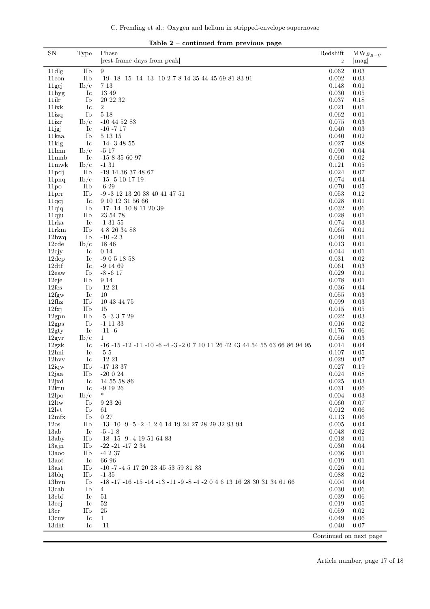| $\mathbf{S} \mathbf{N}$               |                          | ⊥abie 4<br>– continued from previous page<br>Phase                                           | Redshift         |                                |
|---------------------------------------|--------------------------|----------------------------------------------------------------------------------------------|------------------|--------------------------------|
|                                       | Type                     | [rest-frame days from peak]                                                                  | $\boldsymbol{z}$ | $\text{MW}_{E_{B-V}}$<br>[mag] |
|                                       |                          |                                                                                              |                  |                                |
| 11dlg                                 | IIb                      | $\boldsymbol{9}$                                                                             | 0.062            | 0.03                           |
| 11eon                                 | IIb                      | -19 -18 -15 -14 -13 -10 2 7 8 14 35 44 45 69 81 83 91                                        | 0.002            | 0.03                           |
| 11 <sub>gc</sub>                      | $\mathrm{Ib}/\mathrm{c}$ | 7 13                                                                                         | 0.148            | 0.01                           |
| 11hyg                                 | Ic                       | 13 49                                                                                        | 0.030            | 0.05                           |
| 11ilr                                 | Ib                       | 20 22 32                                                                                     | 0.037            | 0.18                           |
| 11ixk                                 | Ic                       | $\sqrt{2}$                                                                                   | 0.021            | 0.01                           |
| 11izq                                 | Ib                       | $5\ 18$                                                                                      | 0.062            | 0.01                           |
| 11izr                                 | $\rm{Ib}/c$              | $-10$ 44 52 83                                                                               | 0.075            | 0.03                           |
| 11jgj                                 | Ic                       | $-16 - 717$                                                                                  | 0.040            | 0.03                           |
| 11kaa                                 | Ib                       | 5 13 15                                                                                      | 0.040            | 0.02                           |
| $11$ klg                              | Ic                       | $-14 - 34855$                                                                                | 0.027            | 0.08                           |
| $11$ lmn                              | $\rm{Ib}/c$              | $-517$                                                                                       | 0.090            | 0.04                           |
| $11$ mnb                              | Ic                       | $-158356097$                                                                                 | 0.060            | 0.02                           |
| $11$ mwk                              | $\rm{Ib}/c$<br>IIb       | $-131$                                                                                       | 0.121            | $0.05\,$                       |
| 11pdj                                 |                          | -19 14 36 37 48 67                                                                           | 0.024            | $0.07\,$                       |
| 11 <sub>pnq</sub>                     | $\rm{Ib}/c$              | $-15 - 5101719$<br>$-629$                                                                    | 0.074            | 0.04                           |
| 11 <sub>po</sub>                      | IIb                      |                                                                                              | 0.070<br>0.053   | 0.05                           |
| 11 <sub>prr</sub>                     | IIb                      | -9 -3 12 13 20 38 40 41 47 51<br>9 10 12 31 56 66                                            |                  | 0.12                           |
| 11qci                                 | Ic<br>Ib                 |                                                                                              | 0.028<br>0.032   | 0.01                           |
| 11qiq                                 | IIb                      | $-17$ $-14$ $-10$ 8 11 20 39<br>23 54 78                                                     | 0.028            | 0.06<br>0.01                   |
| 11qju<br>$11$ rka                     | Ic                       | $-1$ 31 55                                                                                   | 0.074            | 0.03                           |
|                                       |                          |                                                                                              | 0.065            |                                |
| $11$ rkm<br>12bwq                     | IIb<br>Ib                | 4 8 26 34 88<br>$-10 - 23$                                                                   | 0.040            | 0.01<br>0.01                   |
| 12cde                                 | $\rm{Ib}/c$              | 18 46                                                                                        | 0.013            | 0.01                           |
| $12$ cjy                              | Ic                       | 0 14                                                                                         | 0.044            | 0.01                           |
| 12dcp                                 | Ic                       | $-9051858$                                                                                   | 0.031            | 0.02                           |
| 12df                                  | Ic                       | $-9$ 14 69                                                                                   | 0.061            | 0.03                           |
| 12eaw                                 | Ib                       | $-8 - 6$ 17                                                                                  | 0.029            | 0.01                           |
| 12eje                                 | IIb                      | 9 14                                                                                         | 0.078            | 0.01                           |
| 12fes                                 | Ib                       | $-1221$                                                                                      | 0.036            | 0.04                           |
| $12$ fgw                              | Ic                       | 10                                                                                           | 0.055            | 0.03                           |
| $12$ fhz                              | IIb                      | 10 43 44 75                                                                                  | 0.099            | 0.03                           |
| 12fxi                                 | IIb                      | 15                                                                                           | 0.015            | $0.05\,$                       |
| 12gm                                  | IIb                      | $-5 - 33729$                                                                                 | 0.022            | 0.03                           |
| $12\mathrm{gps}$                      | Ib                       | $-1$ 11 33                                                                                   | $0.016\,$        | 0.02                           |
| 12gty                                 | Ic                       | $-11 - 6$                                                                                    | 0.176            | 0.06                           |
| $12\text{gyr}$                        | $\mathrm{Ib}/\mathrm{c}$ | $\mathbf{1}$                                                                                 | 0.056            | 0.03                           |
| 12gx                                  | Ic                       | $-16$ $-15$ $-12$ $-11$ $-10$ $-6$ $-4$ $-3$ $-2$ 0 7 10 11 26 42 43 44 54 55 63 66 86 94 95 | 0.014            | 0.04                           |
| 12hni                                 | Ic                       | $-55$                                                                                        | 0.107            | $0.05\,$                       |
| $12$ hvv                              | Ic                       | $-1221$                                                                                      | 0.029            | 0.07                           |
| $12 \mathrm{i} \mathrm{q} \mathrm{w}$ | IIb                      | -17 13 37                                                                                    | 0.027            | 0.19                           |
| 12jaa                                 | IIb                      | $-20024$                                                                                     | 0.024            | 0.08                           |
| 12jxd                                 | $_{\rm Ic}$              | 14 55 58 86                                                                                  | 0.025            | 0.03                           |
| 12ktu                                 | $_{\rm Ic}$              | $-9$ 19 26                                                                                   | 0.031            | 0.06                           |
| $12$ lpo                              | $\rm{Ib}/\rm{c}$         | $\ast$                                                                                       | 0.004            | 0.03                           |
| $12$ ltw                              | Ib                       | 9 23 26                                                                                      | 0.060            | 0.07                           |
| $12$ lvt                              | Ib                       | 61                                                                                           | 0.012            | 0.06                           |
| $12\text{mfx}$                        | Ib                       | 027                                                                                          | 0.113            | 0.06                           |
| 12os                                  | IIb                      | -13 -10 -9 -5 -2 -1 2 6 14 19 24 27 28 29 32 93 94                                           | 0.005            | 0.04                           |
| 13ab                                  | $_{\rm Ic}$              | $-5 - 18$                                                                                    | 0.048            | 0.02                           |
| 13aby                                 | IIb                      | $-18 - 15 - 9 - 419516483$                                                                   | 0.018            | 0.01                           |
| 13ajn                                 | IIb                      | $-22$ $-21$ $-17$ $2$ $34$                                                                   | 0.030            | 0.04                           |
| $13a$ oo                              | IIb                      | $-4237$                                                                                      | 0.036            | 0.01                           |
| 13aot                                 | Ic                       | 66 96                                                                                        | 0.019            | 0.01                           |
| $13$ ast                              | IIb                      | -10 -7 -4 5 17 20 23 45 53 59 81 83                                                          | 0.026            | 0.01                           |
| $13\text{blq}$                        | IIb                      | $-135$                                                                                       | 0.088            | 0.02                           |
| 13 <sub>bvn</sub>                     | Ib                       | -18 -17 -16 -15 -14 -13 -11 -9 -8 -4 -2 0 4 6 13 16 28 30 31 34 61 66                        | 0.004            | 0.04                           |
| 13cab                                 | Ib                       | 4                                                                                            | 0.030            | 0.06                           |
| 13 <sub>cbf</sub>                     | $_{\rm Ic}$              | 51                                                                                           | 0.039            | 0.06                           |
| $13c$ j                               | $_{\rm Ic}$              | 52                                                                                           | 0.019            | 0.05                           |
| 13 <sub>cr</sub>                      | IIb                      | 25                                                                                           | 0.059            | 0.02                           |
| 13cuv                                 | $_{\rm Ic}$              | $\mathbf{1}$                                                                                 | 0.049            | 0.06                           |
| $13d$ ht                              | $_{\rm Ic}$              | $-11$                                                                                        | 0.040            | 0.07                           |
|                                       |                          |                                                                                              |                  | Continued on next page         |

Table 2 – continued from previous page